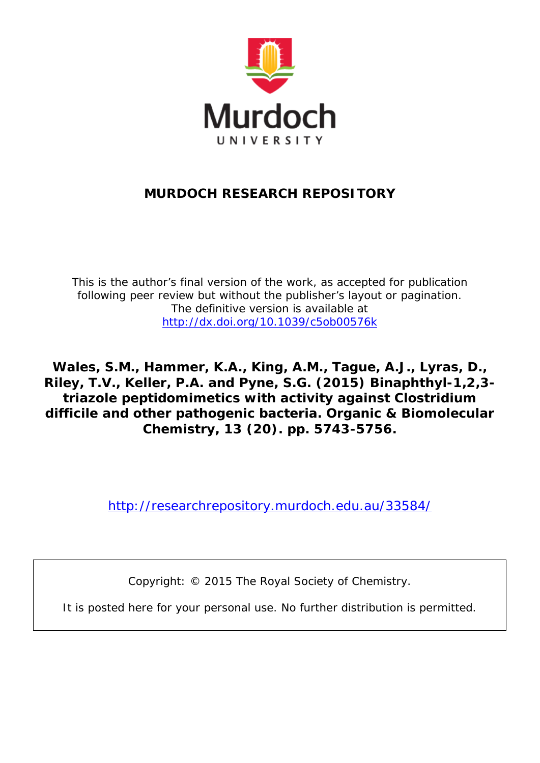

## **MURDOCH RESEARCH REPOSITORY**

*This is the author's final version of the work, as accepted for publication following peer review but without the publisher's layout or pagination. The definitive version is available at <http://dx.doi.org/10.1039/c5ob00576k>*

**Wales, S.M., Hammer, K.A., King, A.M., Tague, A.J., Lyras, D., Riley, T.V., Keller, P.A. and Pyne, S.G. (2015) Binaphthyl-1,2,3 triazole peptidomimetics with activity against Clostridium difficile and other pathogenic bacteria. Organic & Biomolecular Chemistry, 13 (20). pp. 5743-5756.**

<http://researchrepository.murdoch.edu.au/33584/>

Copyright: © 2015 The Royal Society of Chemistry.

It is posted here for your personal use. No further distribution is permitted.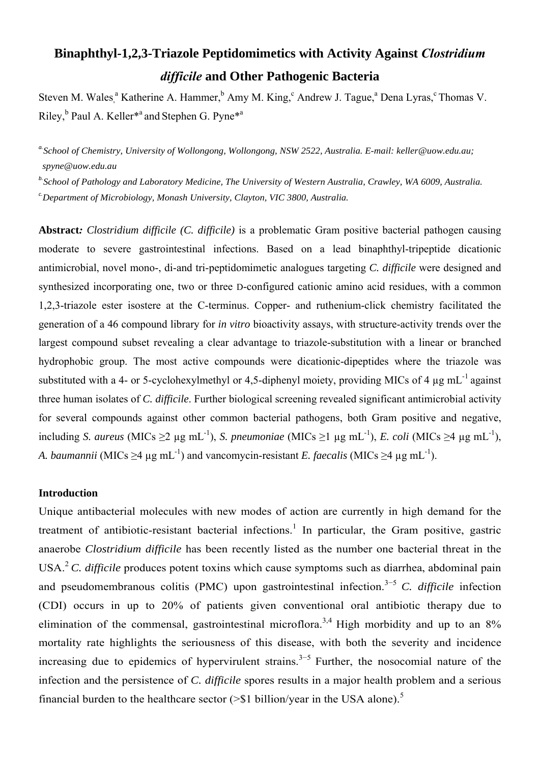# **Binaphthyl-1,2,3-Triazole Peptidomimetics with Activity Against** *Clostridium difficile* **and Other Pathogenic Bacteria**

Steven M. Wales,<sup>a</sup> Katherine A. Hammer,<sup>b</sup> Amy M. King,<sup>c</sup> Andrew J. Tague,<sup>a</sup> Dena Lyras,<sup>c</sup> Thomas V. Riley, <sup>b</sup> Paul A. Keller<sup>\*</sup>and Stephen G. Pyne<sup>\*a</sup>

*a.School of Chemistry, University of Wollongong, Wollongong, NSW 2522, Australia. E-mail: keller@uow.edu.au; spyne@uow.edu.au* 

*b.School of Pathology and Laboratory Medicine, The University of Western Australia, Crawley, WA 6009, Australia.* 

*c.Department of Microbiology, Monash University, Clayton, VIC 3800, Australia.* 

**Abstract***: Clostridium difficile (C. difficile)* is a problematic Gram positive bacterial pathogen causing moderate to severe gastrointestinal infections. Based on a lead binaphthyl-tripeptide dicationic antimicrobial, novel mono-, di-and tri-peptidomimetic analogues targeting *C. difficile* were designed and synthesized incorporating one, two or three D-configured cationic amino acid residues, with a common 1,2,3-triazole ester isostere at the C-terminus. Copper- and ruthenium-click chemistry facilitated the generation of a 46 compound library for *in vitro* bioactivity assays, with structure-activity trends over the largest compound subset revealing a clear advantage to triazole-substitution with a linear or branched hydrophobic group. The most active compounds were dicationic-dipeptides where the triazole was substituted with a 4- or 5-cyclohexylmethyl or 4,5-diphenyl moiety, providing MICs of 4  $\mu$ g mL<sup>-1</sup> against three human isolates of *C. difficile*. Further biological screening revealed significant antimicrobial activity for several compounds against other common bacterial pathogens, both Gram positive and negative, including *S. aureus* (MICs  $\geq 2$  µg mL<sup>-1</sup>), *S. pneumoniae* (MICs  $\geq 1$  µg mL<sup>-1</sup>), *E. coli* (MICs  $\geq 4$  µg mL<sup>-1</sup>), *A. baumannii* (MICs >4 µg mL<sup>-1</sup>) and vancomycin-resistant *E. faecalis* (MICs >4 µg mL<sup>-1</sup>).

## **Introduction**

Unique antibacterial molecules with new modes of action are currently in high demand for the treatment of antibiotic-resistant bacterial infections.<sup>1</sup> In particular, the Gram positive, gastric anaerobe *Clostridium difficile* has been recently listed as the number one bacterial threat in the USA.<sup>2</sup> C. difficile produces potent toxins which cause symptoms such as diarrhea, abdominal pain and pseudomembranous colitis (PMC) upon gastrointestinal infection.<sup>3−5</sup> C. difficile infection (CDI) occurs in up to 20% of patients given conventional oral antibiotic therapy due to elimination of the commensal, gastrointestinal microflora.<sup>3,4</sup> High morbidity and up to an  $8\%$ mortality rate highlights the seriousness of this disease, with both the severity and incidence increasing due to epidemics of hypervirulent strains.<sup>3–5</sup> Further, the nosocomial nature of the infection and the persistence of *C. difficile* spores results in a major health problem and a serious financial burden to the healthcare sector  $(>\frac{1}{51}$  billion/year in the USA alone).<sup>5</sup>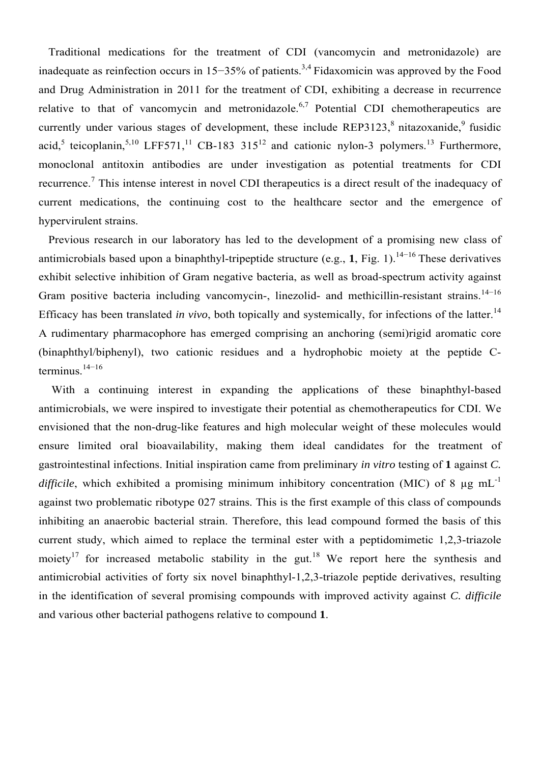Traditional medications for the treatment of CDI (vancomycin and metronidazole) are inadequate as reinfection occurs in 15−35% of patients.3,4 Fidaxomicin was approved by the Food and Drug Administration in 2011 for the treatment of CDI, exhibiting a decrease in recurrence relative to that of vancomycin and metronidazole.<sup>6,7</sup> Potential CDI chemotherapeutics are currently under various stages of development, these include REP3123, $\delta$  nitazoxanide, $\delta$  fusidic acid,<sup>5</sup> teicoplanin,<sup>5,10</sup> LFF571,<sup>11</sup> CB-183 315<sup>12</sup> and cationic nylon-3 polymers.<sup>13</sup> Furthermore, monoclonal antitoxin antibodies are under investigation as potential treatments for CDI recurrence.<sup>7</sup> This intense interest in novel CDI therapeutics is a direct result of the inadequacy of current medications, the continuing cost to the healthcare sector and the emergence of hypervirulent strains.

Previous research in our laboratory has led to the development of a promising new class of antimicrobials based upon a binaphthyl-tripeptide structure (e.g., **1**, Fig. 1).<sup>14−16</sup> These derivatives exhibit selective inhibition of Gram negative bacteria, as well as broad-spectrum activity against Gram positive bacteria including vancomycin-, linezolid- and methicillin-resistant strains.<sup>14−16</sup> Efficacy has been translated *in vivo*, both topically and systemically, for infections of the latter.<sup>14</sup> A rudimentary pharmacophore has emerged comprising an anchoring (semi)rigid aromatic core (binaphthyl/biphenyl), two cationic residues and a hydrophobic moiety at the peptide Cterminus. $14-16$ 

With a continuing interest in expanding the applications of these binaphthyl-based antimicrobials, we were inspired to investigate their potential as chemotherapeutics for CDI. We envisioned that the non-drug-like features and high molecular weight of these molecules would ensure limited oral bioavailability, making them ideal candidates for the treatment of gastrointestinal infections. Initial inspiration came from preliminary *in vitro* testing of **1** against *C. difficile*, which exhibited a promising minimum inhibitory concentration (MIC) of 8  $\mu$ g mL<sup>-1</sup> against two problematic ribotype 027 strains. This is the first example of this class of compounds inhibiting an anaerobic bacterial strain. Therefore, this lead compound formed the basis of this current study, which aimed to replace the terminal ester with a peptidomimetic 1,2,3-triazole moiety<sup>17</sup> for increased metabolic stability in the gut.<sup>18</sup> We report here the synthesis and antimicrobial activities of forty six novel binaphthyl-1,2,3-triazole peptide derivatives, resulting in the identification of several promising compounds with improved activity against *C. difficile* and various other bacterial pathogens relative to compound **1**.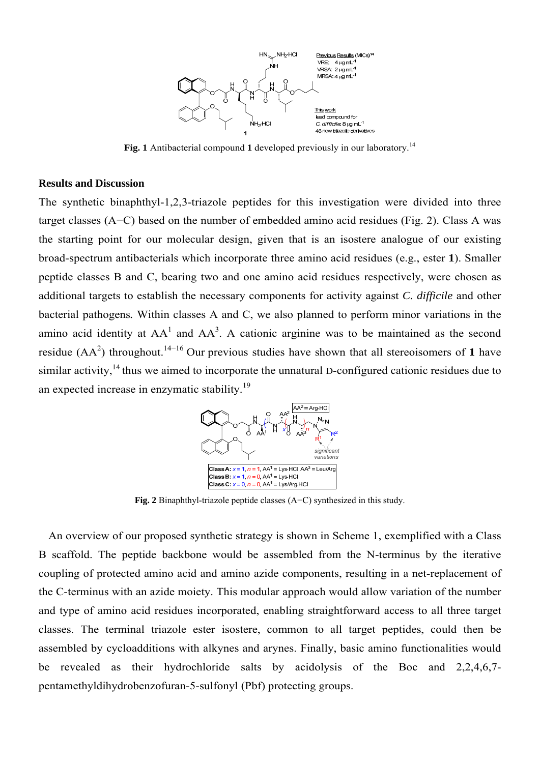

**Fig. 1** Antibacterial compound 1 developed previously in our laboratory.<sup>14</sup>

#### **Results and Discussion**

The synthetic binaphthyl-1,2,3-triazole peptides for this investigation were divided into three target classes (A−C) based on the number of embedded amino acid residues (Fig. 2). Class A was the starting point for our molecular design, given that is an isostere analogue of our existing broad-spectrum antibacterials which incorporate three amino acid residues (e.g., ester **1**). Smaller peptide classes B and C, bearing two and one amino acid residues respectively, were chosen as additional targets to establish the necessary components for activity against *C. difficile* and other bacterial pathogens*.* Within classes A and C, we also planned to perform minor variations in the amino acid identity at  $AA<sup>1</sup>$  and  $AA<sup>3</sup>$ . A cationic arginine was to be maintained as the second residue  $(AA^2)$  throughout.<sup>14–16</sup> Our previous studies have shown that all stereoisomers of 1 have similar activity, $14$  thus we aimed to incorporate the unnatural D-configured cationic residues due to an expected increase in enzymatic stability.<sup>19</sup>



**Fig. 2** Binaphthyl-triazole peptide classes (A−C) synthesized in this study.

An overview of our proposed synthetic strategy is shown in Scheme 1, exemplified with a Class B scaffold. The peptide backbone would be assembled from the N-terminus by the iterative coupling of protected amino acid and amino azide components, resulting in a net-replacement of the C-terminus with an azide moiety. This modular approach would allow variation of the number and type of amino acid residues incorporated, enabling straightforward access to all three target classes. The terminal triazole ester isostere, common to all target peptides, could then be assembled by cycloadditions with alkynes and arynes. Finally, basic amino functionalities would be revealed as their hydrochloride salts by acidolysis of the Boc and 2,2,4,6,7 pentamethyldihydrobenzofuran-5-sulfonyl (Pbf) protecting groups.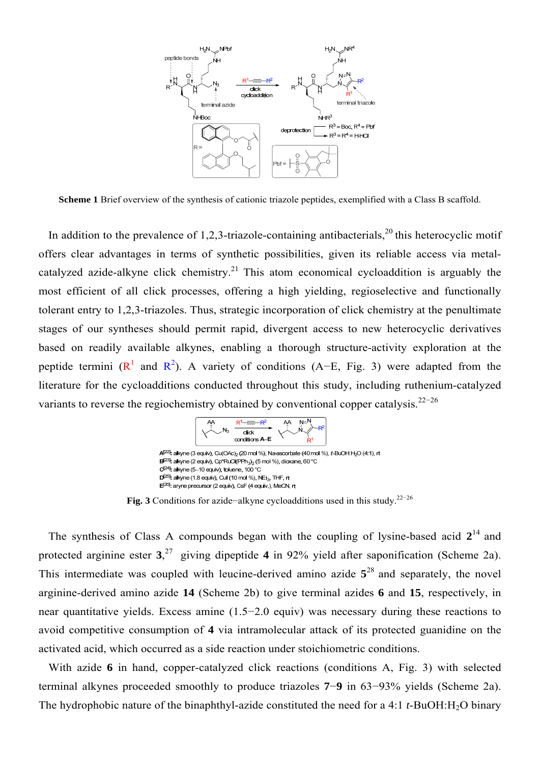

**Scheme 1** Brief overview of the synthesis of cationic triazole peptides, exemplified with a Class B scaffold.

In addition to the prevalence of 1,2,3-triazole-containing antibacterials,  $^{20}$  this heterocyclic motif offers clear advantages in terms of synthetic possibilities, given its reliable access via metalcatalyzed azide-alkyne click chemistry.<sup>21</sup> This atom economical cycloaddition is arguably the most efficient of all click processes, offering a high yielding, regioselective and functionally tolerant entry to 1,2,3-triazoles. Thus, strategic incorporation of click chemistry at the penultimate stages of our syntheses should permit rapid, divergent access to new heterocyclic derivatives based on readily available alkynes, enabling a thorough structure-activity exploration at the peptide termini ( $\mathbb{R}^1$  and  $\mathbb{R}^2$ ). A variety of conditions (A–E, Fig. 3) were adapted from the literature for the cycloadditions conducted throughout this study, including ruthenium-catalyzed variants to reverse the regiochemistry obtained by conventional copper catalysis.<sup>22</sup>−<sup>26</sup>



**Fig. 3** Conditions for azide−alkyne cycloadditions used in this study.22−<sup>26</sup>

The synthesis of Class A compounds began with the coupling of lysine-based acid  $2^{14}$  and protected arginine ester **3**, 27 giving dipeptide **4** in 92% yield after saponification (Scheme 2a). This intermediate was coupled with leucine-derived amino azide **5**28 and separately, the novel arginine-derived amino azide **14** (Scheme 2b) to give terminal azides **6** and **15**, respectively, in near quantitative yields. Excess amine (1.5−2.0 equiv) was necessary during these reactions to avoid competitive consumption of **4** via intramolecular attack of its protected guanidine on the activated acid, which occurred as a side reaction under stoichiometric conditions.

With azide 6 in hand, copper-catalyzed click reactions (conditions A, Fig. 3) with selected terminal alkynes proceeded smoothly to produce triazoles **7**−**9** in 63−93% yields (Scheme 2a). The hydrophobic nature of the binaphthyl-azide constituted the need for a 4:1 *t*-BuOH:H2O binary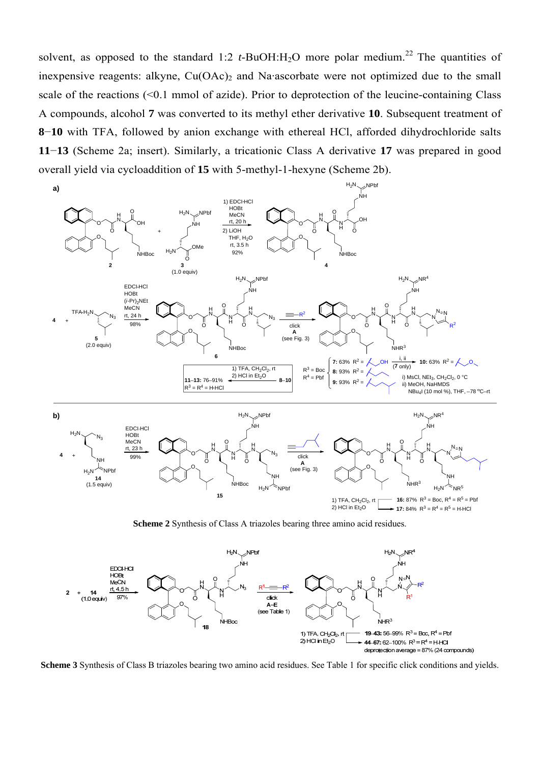solvent, as opposed to the standard 1:2 *t*-BuOH:H<sub>2</sub>O more polar medium.<sup>22</sup> The quantities of inexpensive reagents: alkyne,  $Cu(OAc)$  and Na·ascorbate were not optimized due to the small scale of the reactions (<0.1 mmol of azide). Prior to deprotection of the leucine-containing Class A compounds, alcohol **7** was converted to its methyl ether derivative **10**. Subsequent treatment of **8**−**10** with TFA, followed by anion exchange with ethereal HCl, afforded dihydrochloride salts **11**−**13** (Scheme 2a; insert). Similarly, a tricationic Class A derivative **17** was prepared in good overall yield via cycloaddition of **15** with 5-methyl-1-hexyne (Scheme 2b).



**Scheme 2** Synthesis of Class A triazoles bearing three amino acid residues.



**Scheme 3** Synthesis of Class B triazoles bearing two amino acid residues. See Table 1 for specific click conditions and yields.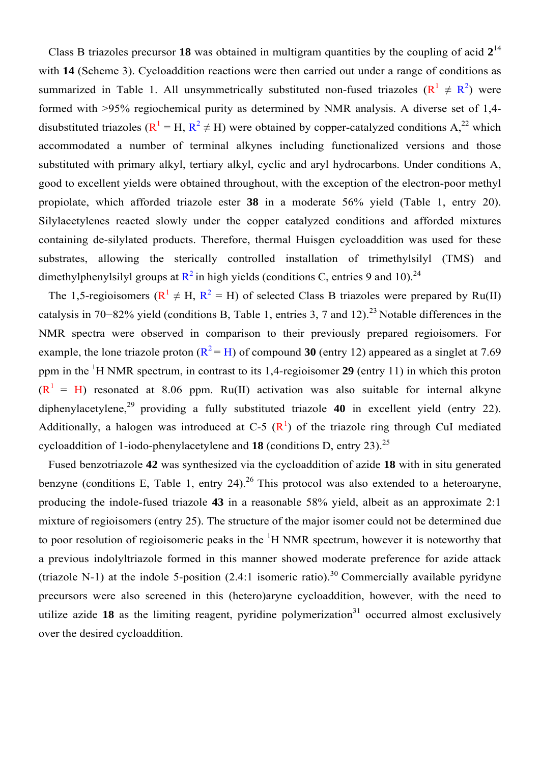Class B triazoles precursor **18** was obtained in multigram quantities by the coupling of acid **2**<sup>14</sup> with **14** (Scheme 3). Cycloaddition reactions were then carried out under a range of conditions as summarized in Table 1. All unsymmetrically substituted non-fused triazoles  $(R^1 \neq R^2)$  were formed with >95% regiochemical purity as determined by NMR analysis. A diverse set of 1,4 disubstituted triazoles ( $R^1 = H, R^2 \neq H$ ) were obtained by copper-catalyzed conditions  $A^{22}$ , which accommodated a number of terminal alkynes including functionalized versions and those substituted with primary alkyl, tertiary alkyl, cyclic and aryl hydrocarbons. Under conditions A, good to excellent yields were obtained throughout, with the exception of the electron-poor methyl propiolate, which afforded triazole ester **38** in a moderate 56% yield (Table 1, entry 20). Silylacetylenes reacted slowly under the copper catalyzed conditions and afforded mixtures containing de-silylated products. Therefore, thermal Huisgen cycloaddition was used for these substrates, allowing the sterically controlled installation of trimethylsilyl (TMS) and dimethylphenylsilyl groups at  $\mathbb{R}^2$  in high yields (conditions C, entries 9 and 10).<sup>24</sup>

The 1,5-regioisomers ( $R^1 \neq H$ ,  $R^2 = H$ ) of selected Class B triazoles were prepared by Ru(II) catalysis in 70−82% yield (conditions B, Table 1, entries 3, 7 and 12).<sup>23</sup> Notable differences in the NMR spectra were observed in comparison to their previously prepared regioisomers. For example, the lone triazole proton  $(R^2 = H)$  of compound 30 (entry 12) appeared as a singlet at 7.69 ppm in the <sup>1</sup> H NMR spectrum, in contrast to its 1,4-regioisomer **29** (entry 11) in which this proton  $(R^1 = H)$  resonated at 8.06 ppm. Ru(II) activation was also suitable for internal alkyne diphenylacetylene,<sup>29</sup> providing a fully substituted triazole **40** in excellent yield (entry 22). Additionally, a halogen was introduced at C-5  $(R<sup>1</sup>)$  of the triazole ring through CuI mediated cycloaddition of 1-iodo-phenylacetylene and **18** (conditions D, entry 23).<sup>25</sup>

Fused benzotriazole **42** was synthesized via the cycloaddition of azide **18** with in situ generated benzyne (conditions E, Table 1, entry 24).<sup>26</sup> This protocol was also extended to a heteroaryne, producing the indole-fused triazole **43** in a reasonable 58% yield, albeit as an approximate 2:1 mixture of regioisomers (entry 25). The structure of the major isomer could not be determined due to poor resolution of regioisomeric peaks in the  ${}^{1}H$  NMR spectrum, however it is noteworthy that a previous indolyltriazole formed in this manner showed moderate preference for azide attack (triazole N-1) at the indole 5-position  $(2.4:1)$  isomeric ratio).<sup>30</sup> Commercially available pyridyne precursors were also screened in this (hetero)aryne cycloaddition, however, with the need to utilize azide  $18$  as the limiting reagent, pyridine polymerization<sup>31</sup> occurred almost exclusively over the desired cycloaddition.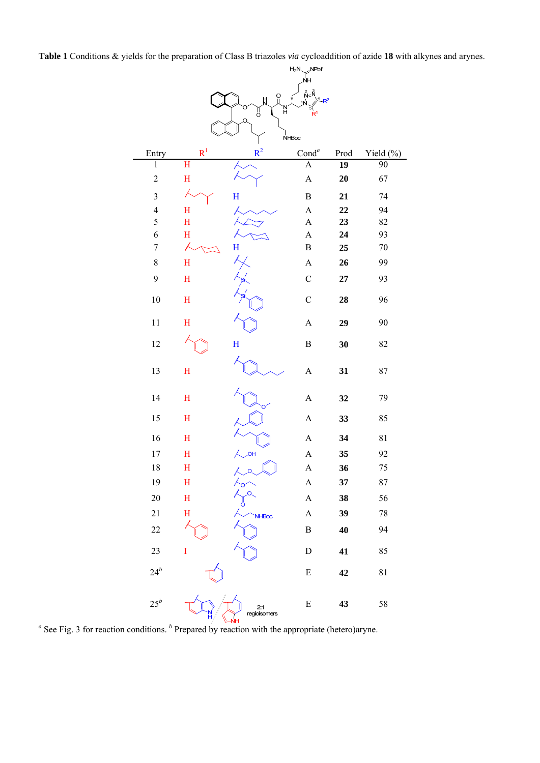**Table 1** Conditions & yields for the preparation of Class B triazoles *via* cycloaddition of azide **18** with alkynes and arynes.

|                         |                         |                     | $H_2N$<br>NPbf                  |                 |             |  |  |  |  |  |  |
|-------------------------|-------------------------|---------------------|---------------------------------|-----------------|-------------|--|--|--|--|--|--|
|                         |                         |                     | ŇΗ                              |                 |             |  |  |  |  |  |  |
|                         |                         | Ω<br>Ħ              | $\sum_{i=1}^{n} \sum_{i=1}^{n}$ |                 |             |  |  |  |  |  |  |
|                         |                         | Ή<br>ő              | R.                              |                 |             |  |  |  |  |  |  |
|                         |                         | O                   |                                 |                 |             |  |  |  |  |  |  |
| NHBoc                   |                         |                     |                                 |                 |             |  |  |  |  |  |  |
| Entry                   | $R^1$                   | $R^2$               | Cond <sup>a</sup>               | Prod            | Yield $(%)$ |  |  |  |  |  |  |
| $\mathbf{1}$            | $\overline{\mathrm{H}}$ |                     | $\overline{A}$                  | $\overline{19}$ | 90          |  |  |  |  |  |  |
| $\overline{c}$          | $\mathbf H$             |                     | $\mathbf{A}$                    | 20              | 67          |  |  |  |  |  |  |
| $\overline{\mathbf{3}}$ |                         | $\mathbf H$         | $\, {\bf B}$                    | 21              | 74          |  |  |  |  |  |  |
| $\overline{4}$          | $\mathbf H$             |                     | $\mathbf{A}$                    | 22              | 94          |  |  |  |  |  |  |
| 5                       | H                       |                     | $\boldsymbol{\rm{A}}$           | 23              | 82          |  |  |  |  |  |  |
| 6                       | H                       |                     | $\boldsymbol{A}$                | 24              | 93          |  |  |  |  |  |  |
| $\overline{7}$          | X                       | H                   | $\, {\bf B}$                    | 25              | $70\,$      |  |  |  |  |  |  |
| 8                       | $H_{\rm}$               |                     | $\mathbf{A}$                    | 26              | 99          |  |  |  |  |  |  |
| 9                       | H                       |                     | $\mathbf C$                     | 27              | 93          |  |  |  |  |  |  |
| $10\,$                  | $\mathbf H$             |                     | $\mathbf C$                     | 28              | 96          |  |  |  |  |  |  |
| 11                      | H                       |                     | $\boldsymbol{\mathsf{A}}$       | 29              | 90          |  |  |  |  |  |  |
| 12                      |                         | H                   | $\, {\bf B}$                    | 30              | 82          |  |  |  |  |  |  |
| 13                      | $\mathbf H$             |                     | $\mathbf{A}$                    | 31              | 87          |  |  |  |  |  |  |
| 14                      | H                       |                     | $\mathbf{A}$                    | 32              | 79          |  |  |  |  |  |  |
| 15                      | $\mathbf H$             |                     | $\boldsymbol{\mathsf{A}}$       | 33              | 85          |  |  |  |  |  |  |
| 16                      | $\mathbf H$             |                     | $\boldsymbol{\mathsf{A}}$       | 34              | $8\sqrt{1}$ |  |  |  |  |  |  |
| 17                      | H                       | $\overline{O}$ H    | $\mathbf{A}$                    | 35              | 92          |  |  |  |  |  |  |
| 18                      | H                       |                     | A                               | 36              | 75          |  |  |  |  |  |  |
| 19                      | H                       |                     | $\mathbf{A}$                    | 37              | 87          |  |  |  |  |  |  |
| $20\,$                  | $H_{\rm}$               | Ö                   | $\boldsymbol{\mathsf{A}}$       | 38              | 56          |  |  |  |  |  |  |
| 21                      | $\rm H$                 | <b>NHBoc</b>        | $\boldsymbol{\rm{A}}$           | 39              | $78\,$      |  |  |  |  |  |  |
| $22\,$                  |                         |                     | $\, {\bf B}$                    | 40              | 94          |  |  |  |  |  |  |
| 23                      | $\mathbf I$             |                     | ${\bf D}$                       | 41              | 85          |  |  |  |  |  |  |
| $24^b$                  |                         |                     | ${\bf E}$                       | 42              | 81          |  |  |  |  |  |  |
| $25^b$                  |                         | 2:1<br>regioisomers | ${\bf E}$                       | 43              | 58          |  |  |  |  |  |  |

<sup>*a*</sup> See Fig. 3 for reaction conditions. <sup>*b*</sup> Prepared by reaction with the appropriate (hetero)aryne.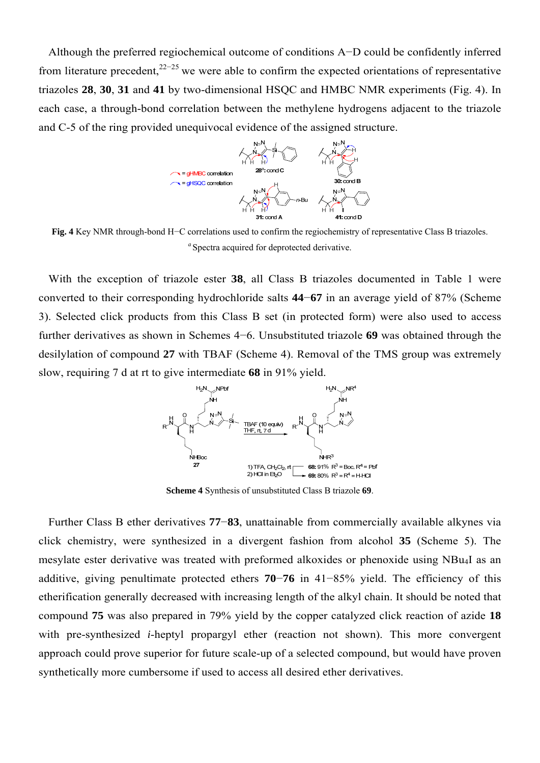Although the preferred regiochemical outcome of conditions A−D could be confidently inferred from literature precedent,<sup>22−25</sup> we were able to confirm the expected orientations of representative triazoles **28**, **30**, **31** and **41** by two-dimensional HSQC and HMBC NMR experiments (Fig. 4). In each case, a through-bond correlation between the methylene hydrogens adjacent to the triazole and C-5 of the ring provided unequivocal evidence of the assigned structure.



**Fig. 4** Key NMR through-bond H−C correlations used to confirm the regiochemistry of representative Class B triazoles. <sup>*a*</sup> Spectra acquired for deprotected derivative.

With the exception of triazole ester **38**, all Class B triazoles documented in Table 1 were converted to their corresponding hydrochloride salts **44**−**67** in an average yield of 87% (Scheme 3). Selected click products from this Class B set (in protected form) were also used to access further derivatives as shown in Schemes 4−6. Unsubstituted triazole **69** was obtained through the desilylation of compound **27** with TBAF (Scheme 4). Removal of the TMS group was extremely slow, requiring 7 d at rt to give intermediate **68** in 91% yield.



**Scheme 4** Synthesis of unsubstituted Class B triazole **69**.

Further Class B ether derivatives **77**−**83**, unattainable from commercially available alkynes via click chemistry, were synthesized in a divergent fashion from alcohol **35** (Scheme 5). The mesylate ester derivative was treated with preformed alkoxides or phenoxide using NBu4I as an additive, giving penultimate protected ethers **70**−**76** in 41−85% yield. The efficiency of this etherification generally decreased with increasing length of the alkyl chain. It should be noted that compound **75** was also prepared in 79% yield by the copper catalyzed click reaction of azide **18** with pre-synthesized *i*-heptyl propargyl ether (reaction not shown). This more convergent approach could prove superior for future scale-up of a selected compound, but would have proven synthetically more cumbersome if used to access all desired ether derivatives.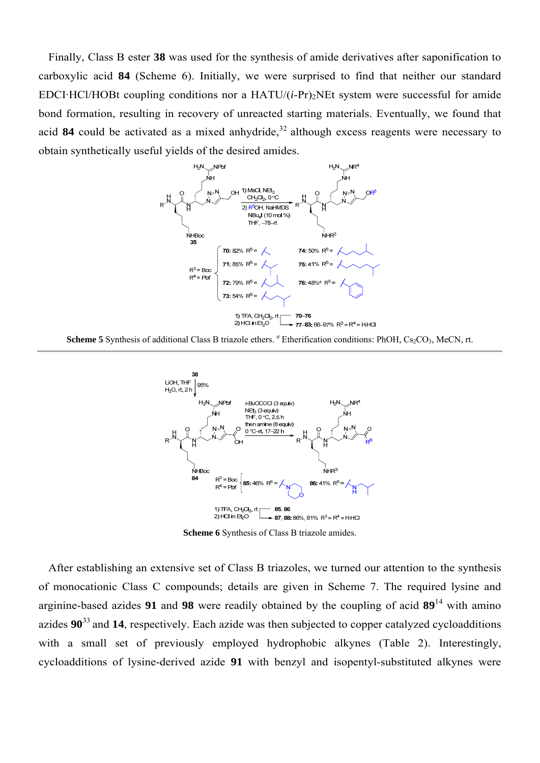Finally, Class B ester **38** was used for the synthesis of amide derivatives after saponification to carboxylic acid **84** (Scheme 6). Initially, we were surprised to find that neither our standard EDCI·HCl/HOBt coupling conditions nor a  $HATU/(i-Pr)$ <sub>2</sub>NEt system were successful for amide bond formation, resulting in recovery of unreacted starting materials. Eventually, we found that acid 84 could be activated as a mixed anhydride,  $32$  although excess reagents were necessary to obtain synthetically useful yields of the desired amides.







**Scheme 6** Synthesis of Class B triazole amides.

After establishing an extensive set of Class B triazoles, we turned our attention to the synthesis of monocationic Class C compounds; details are given in Scheme 7. The required lysine and arginine-based azides **91** and **98** were readily obtained by the coupling of acid **89**14 with amino azides **90**33 and **14**, respectively. Each azide was then subjected to copper catalyzed cycloadditions with a small set of previously employed hydrophobic alkynes (Table 2). Interestingly, cycloadditions of lysine-derived azide **91** with benzyl and isopentyl-substituted alkynes were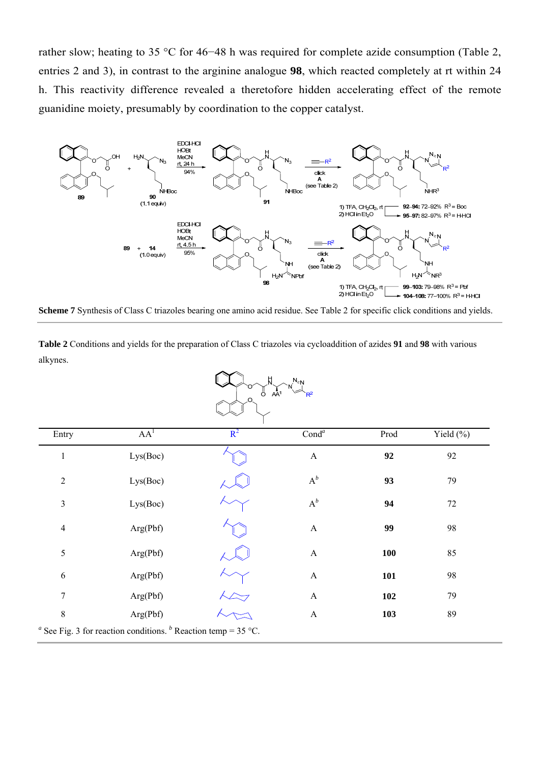rather slow; heating to 35 °C for 46−48 h was required for complete azide consumption (Table 2, entries 2 and 3), in contrast to the arginine analogue **98**, which reacted completely at rt within 24 h. This reactivity difference revealed a theretofore hidden accelerating effect of the remote guanidine moiety, presumably by coordination to the copper catalyst.



**Scheme 7** Synthesis of Class C triazoles bearing one amino acid residue. See Table 2 for specific click conditions and yields.

**Table 2** Conditions and yields for the preparation of Class C triazoles via cycloaddition of azides **91** and **98** with various alkynes.

| $N_{\rm SN}$<br>Ċ.<br>AĀ <sup>1</sup><br>ےچا |
|----------------------------------------------|
|                                              |

| Entry          | AA <sup>1</sup> | $R^2$ | Cond <sup>a</sup>     | Prod       | Yield $(\% )$ |
|----------------|-----------------|-------|-----------------------|------------|---------------|
| $\mathbf{1}$   | Lys(Boc)        |       | $\mathbf{A}$          | 92         | 92            |
| $\overline{2}$ | Lys(Boc)        |       | $A^b$                 | 93         | 79            |
| $\mathfrak{Z}$ | Lys(Boc)        |       | $A^b$                 | 94         | $72\,$        |
| $\overline{4}$ | Arg(Pbf)        |       | $\boldsymbol{\rm{A}}$ | 99         | 98            |
| 5              | Arg(Pbf)        |       | $\mathbf{A}$          | <b>100</b> | 85            |
| $\sqrt{6}$     | Arg(Pbf)        |       | $\mathbf{A}$          | 101        | 98            |
| $\tau$         | Arg(Pbf)        |       | $\mathbf{A}$          | 102        | 79            |
| $8\,$          | Arg(Pbf)        |       | $\mathbf{A}$          | 103        | 89            |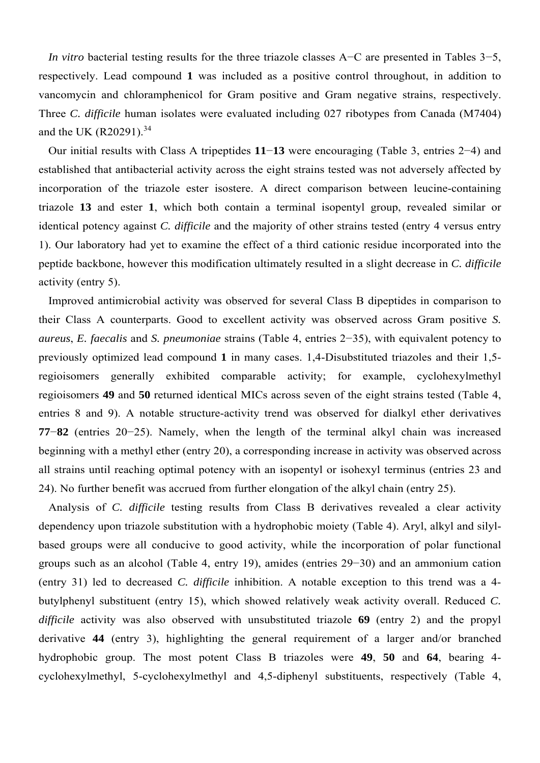*In vitro* bacterial testing results for the three triazole classes A–C are presented in Tables 3–5, respectively. Lead compound **1** was included as a positive control throughout, in addition to vancomycin and chloramphenicol for Gram positive and Gram negative strains, respectively. Three *C. difficile* human isolates were evaluated including 027 ribotypes from Canada (M7404) and the UK  $(R20291)^{34}$ 

Our initial results with Class A tripeptides **11**−**13** were encouraging (Table 3, entries 2−4) and established that antibacterial activity across the eight strains tested was not adversely affected by incorporation of the triazole ester isostere. A direct comparison between leucine-containing triazole **13** and ester **1**, which both contain a terminal isopentyl group, revealed similar or identical potency against *C. difficile* and the majority of other strains tested (entry 4 versus entry 1). Our laboratory had yet to examine the effect of a third cationic residue incorporated into the peptide backbone, however this modification ultimately resulted in a slight decrease in *C. difficile* activity (entry 5).

Improved antimicrobial activity was observed for several Class B dipeptides in comparison to their Class A counterparts. Good to excellent activity was observed across Gram positive *S. aureus*, *E. faecalis* and *S. pneumoniae* strains (Table 4, entries 2−35), with equivalent potency to previously optimized lead compound **1** in many cases. 1,4-Disubstituted triazoles and their 1,5 regioisomers generally exhibited comparable activity; for example, cyclohexylmethyl regioisomers **49** and **50** returned identical MICs across seven of the eight strains tested (Table 4, entries 8 and 9). A notable structure-activity trend was observed for dialkyl ether derivatives **77**−**82** (entries 20−25). Namely, when the length of the terminal alkyl chain was increased beginning with a methyl ether (entry 20), a corresponding increase in activity was observed across all strains until reaching optimal potency with an isopentyl or isohexyl terminus (entries 23 and 24). No further benefit was accrued from further elongation of the alkyl chain (entry 25).

Analysis of *C. difficile* testing results from Class B derivatives revealed a clear activity dependency upon triazole substitution with a hydrophobic moiety (Table 4). Aryl, alkyl and silylbased groups were all conducive to good activity, while the incorporation of polar functional groups such as an alcohol (Table 4, entry 19), amides (entries 29−30) and an ammonium cation (entry 31) led to decreased *C. difficile* inhibition. A notable exception to this trend was a 4 butylphenyl substituent (entry 15), which showed relatively weak activity overall. Reduced *C. difficile* activity was also observed with unsubstituted triazole **69** (entry 2) and the propyl derivative **44** (entry 3), highlighting the general requirement of a larger and/or branched hydrophobic group. The most potent Class B triazoles were **49**, **50** and **64**, bearing 4 cyclohexylmethyl, 5-cyclohexylmethyl and 4,5-diphenyl substituents, respectively (Table 4,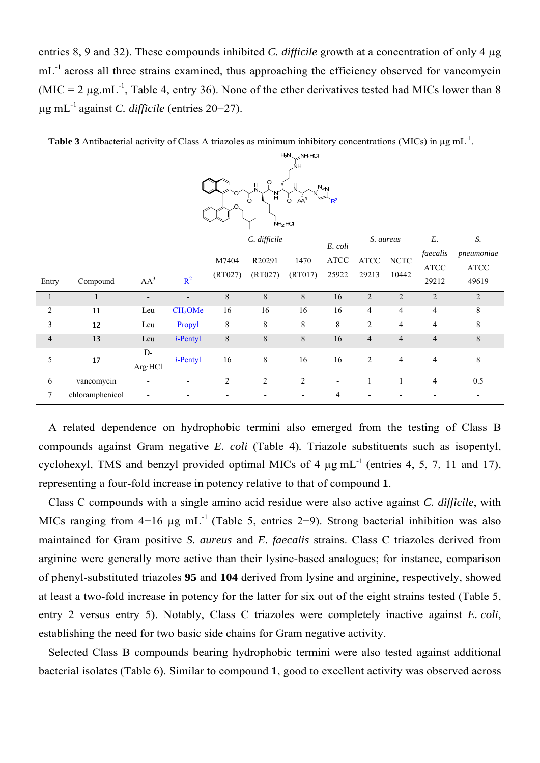entries 8, 9 and 32). These compounds inhibited *C. difficile* growth at a concentration of only 4 µg mL<sup>-1</sup> across all three strains examined, thus approaching the efficiency observed for vancomycin  $(MIC = 2 \mu g.mL^{-1}$ , Table 4, entry 36). None of the ether derivatives tested had MICs lower than 8 µg mL-1 against *C. difficile* (entries 20−27).

| $\Omega$<br>뷰<br>$\frac{H}{N}$<br>$N_{\approx N}$<br>Ħ.<br>Ő<br>Ő<br>$A\bar{A}^3$<br>.O.<br>$NH2$ -HCI |                 |                          |                     |                  |                   |                 |                                |                      |                      |                          |                                     |
|--------------------------------------------------------------------------------------------------------|-----------------|--------------------------|---------------------|------------------|-------------------|-----------------|--------------------------------|----------------------|----------------------|--------------------------|-------------------------------------|
|                                                                                                        |                 |                          |                     |                  | C. difficile      |                 | E. coli                        |                      | S. aureus            | $\cal E.$                | S.                                  |
|                                                                                                        |                 |                          |                     | M7404<br>(RT027) | R20291<br>(RT027) | 1470<br>(RT017) | $\operatorname{ATCC}$<br>25922 | <b>ATCC</b><br>29213 | <b>NCTC</b><br>10442 | faecalis<br><b>ATCC</b>  | pneumoniae<br>$\operatorname{ATCC}$ |
| Entry                                                                                                  | Compound        | AA <sup>3</sup>          | $R^2$               |                  |                   |                 |                                |                      |                      | 29212                    | 49619                               |
|                                                                                                        | 1               | $\overline{\phantom{a}}$ |                     | $\,8\,$          | $\,8\,$           | $8\,$           | 16                             | $\overline{2}$       | $\overline{2}$       | $\overline{2}$           | $\overline{2}$                      |
| $\overline{c}$                                                                                         | 11              | Leu                      | CH <sub>2</sub> OMe | 16               | 16                | 16              | 16                             | $\overline{4}$       | $\overline{4}$       | $\overline{4}$           | 8                                   |
| $\mathfrak{Z}$                                                                                         | 12              | Leu                      | Propyl              | $\,8\,$          | 8                 | 8               | $\,$ 8 $\,$                    | $\overline{2}$       | $\overline{4}$       | 4                        | 8                                   |
| $\overline{4}$                                                                                         | 13              | Leu                      | $i$ -Pentyl         | $\,8\,$          | $\,8\,$           | $8\,$           | 16                             | $\overline{4}$       | $\overline{4}$       | $\overline{\mathcal{A}}$ | 8                                   |
| 5                                                                                                      | 17              | $D-$<br>Arg·HCl          | $i$ -Pentyl         | 16               | $\,8\,$           | 16              | 16                             | $\mathbf{2}$         | $\overline{4}$       | $\overline{4}$           | 8                                   |
| $\epsilon$                                                                                             | vancomycin      |                          |                     | $\overline{2}$   | $\overline{2}$    | $\overline{c}$  |                                | 1                    | 1                    | 4                        | 0.5                                 |
| $\tau$                                                                                                 | chloramphenicol |                          |                     |                  |                   |                 | 4                              |                      |                      |                          |                                     |

Table 3 Antibacterial activity of Class A triazoles as minimum inhibitory concentrations (MICs) in  $\mu$ g mL<sup>-1</sup>.

 $H_2N \sim NH \cdot HCl$ ∕ ।<br>⊣∕∖

A related dependence on hydrophobic termini also emerged from the testing of Class B compounds against Gram negative *E. coli* (Table 4)*.* Triazole substituents such as isopentyl, cyclohexyl, TMS and benzyl provided optimal MICs of 4  $\mu$ g mL<sup>-1</sup> (entries 4, 5, 7, 11 and 17), representing a four-fold increase in potency relative to that of compound **1**.

Class C compounds with a single amino acid residue were also active against *C. difficile*, with MICs ranging from  $4-16$  ug mL<sup>-1</sup> (Table 5, entries 2–9). Strong bacterial inhibition was also maintained for Gram positive *S. aureus* and *E. faecalis* strains. Class C triazoles derived from arginine were generally more active than their lysine-based analogues; for instance, comparison of phenyl-substituted triazoles **95** and **104** derived from lysine and arginine, respectively, showed at least a two-fold increase in potency for the latter for six out of the eight strains tested (Table 5, entry 2 versus entry 5). Notably, Class C triazoles were completely inactive against *E. coli*, establishing the need for two basic side chains for Gram negative activity.

Selected Class B compounds bearing hydrophobic termini were also tested against additional bacterial isolates (Table 6). Similar to compound **1**, good to excellent activity was observed across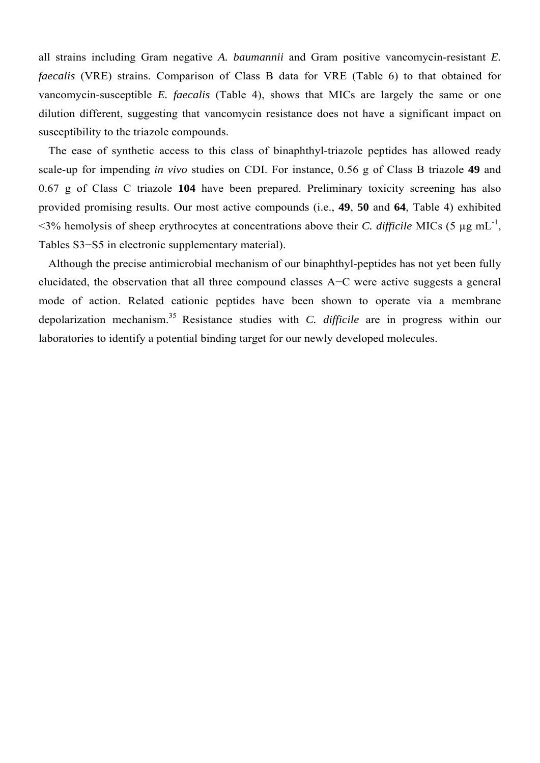all strains including Gram negative *A. baumannii* and Gram positive vancomycin-resistant *E. faecalis* (VRE) strains. Comparison of Class B data for VRE (Table 6) to that obtained for vancomycin-susceptible *E. faecalis* (Table 4), shows that MICs are largely the same or one dilution different, suggesting that vancomycin resistance does not have a significant impact on susceptibility to the triazole compounds.

The ease of synthetic access to this class of binaphthyl-triazole peptides has allowed ready scale-up for impending *in vivo* studies on CDI. For instance, 0.56 g of Class B triazole **49** and 0.67 g of Class C triazole **104** have been prepared. Preliminary toxicity screening has also provided promising results. Our most active compounds (i.e., **49**, **50** and **64**, Table 4) exhibited  $\leq$ 3% hemolysis of sheep erythrocytes at concentrations above their *C. difficile* MICs (5 µg mL<sup>-1</sup>, Tables S3−S5 in electronic supplementary material).

Although the precise antimicrobial mechanism of our binaphthyl-peptides has not yet been fully elucidated, the observation that all three compound classes A−C were active suggests a general mode of action. Related cationic peptides have been shown to operate via a membrane depolarization mechanism.35 Resistance studies with *C. difficile* are in progress within our laboratories to identify a potential binding target for our newly developed molecules.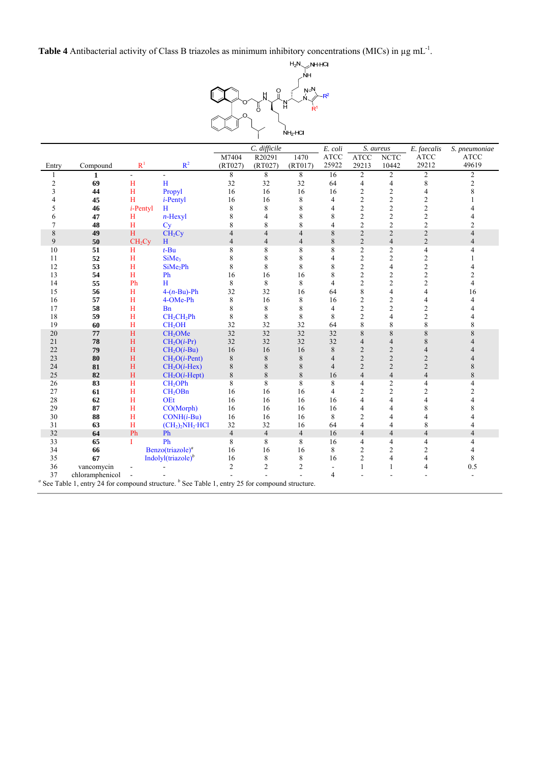**Table 4** Antibacterial activity of Class B triazoles as minimum inhibitory concentrations (MICs) in µg mL-1.



|                |                 |                    |                                                                                                                                     |                | $\overline{C}$ . difficile |                | E. coli                  |                | S. aureus      | E. faecalis              | S. pneumoniae  |
|----------------|-----------------|--------------------|-------------------------------------------------------------------------------------------------------------------------------------|----------------|----------------------------|----------------|--------------------------|----------------|----------------|--------------------------|----------------|
|                |                 |                    |                                                                                                                                     | M7404          | R20291                     | 1470           | <b>ATCC</b>              | <b>ATCC</b>    | <b>NCTC</b>    | <b>ATCC</b>              | <b>ATCC</b>    |
| Entry          | Compound        | R <sup>1</sup>     | $R^2$                                                                                                                               | (RT027)        | (RT027)                    | (RT017)        | 25922                    | 29213          | 10442          | 29212                    | 49619          |
| 1              | 1               | $\sim$             |                                                                                                                                     | 8              | 8                          | 8              | 16                       | $\overline{c}$ | $\overline{c}$ | 2                        | 2              |
| $\overline{c}$ | 69              | H                  | H                                                                                                                                   | 32             | 32                         | 32             | 64                       | $\overline{4}$ | $\overline{4}$ | 8                        | $\overline{c}$ |
| 3              | 44              | H                  | Propyl                                                                                                                              | 16             | 16                         | 16             | 16                       | $\overline{c}$ | $\overline{c}$ | 4                        | 8              |
| 4              | 45              | H                  | <i>i</i> -Pentyl                                                                                                                    | 16             | 16                         | 8              | $\overline{4}$           | $\overline{c}$ | $\overline{2}$ | $\mathfrak{2}$           |                |
| 5              | 46              | $i$ -Pentyl        | H                                                                                                                                   | 8              | 8                          | 8              | $\overline{4}$           | $\overline{c}$ | $\mathfrak{2}$ | $\overline{c}$           |                |
| 6              | 47              | H                  | $n$ -Hexyl                                                                                                                          | 8              | 4                          | 8              | 8                        | $\overline{c}$ | $\overline{c}$ | $\overline{2}$           |                |
| 7              | 48              | H                  | Cy                                                                                                                                  | 8              | 8                          | 8              | $\overline{4}$           | $\overline{c}$ | $\overline{2}$ | $\overline{c}$           | 2              |
| 8              | 49              | H                  | CH <sub>2</sub> Cy                                                                                                                  | $\overline{4}$ | $\overline{4}$             | $\overline{4}$ | 8                        | $\overline{2}$ | $\overline{c}$ | $\overline{c}$           | $\overline{4}$ |
| 9              | 50              | CH <sub>2</sub> Cy | H                                                                                                                                   | $\overline{4}$ | $\overline{4}$             | $\overline{4}$ | 8                        | $\overline{2}$ | $\overline{4}$ | $\overline{c}$           | $\overline{4}$ |
| 10             | 51              | H                  | $t$ -Bu                                                                                                                             | 8              | 8                          | 8              | 8                        | $\overline{2}$ | $\overline{c}$ | 4                        | 4              |
| 11             | 52              | H                  | SiMe3                                                                                                                               | 8              | 8                          | 8              | 4                        | $\overline{c}$ | $\mathfrak{2}$ | $\overline{c}$           |                |
| 12             | 53              | H                  | SiMe <sub>2</sub> Ph                                                                                                                | 8              | 8                          | 8              | 8                        | $\overline{c}$ | $\overline{4}$ | $\overline{c}$           |                |
| 13             | 54              | H                  | Ph                                                                                                                                  | 16             | 16                         | 16             | 8                        | $\overline{2}$ | $\overline{2}$ | $\overline{c}$           | $\overline{c}$ |
| 14             | 55              | Ph                 | H                                                                                                                                   | 8              | 8                          | 8              | $\overline{\mathcal{L}}$ | $\overline{c}$ | $\overline{2}$ | $\overline{2}$           | 4              |
| 15             | 56              | H                  | $4-(n-Bu)$ -Ph                                                                                                                      | 32             | 32                         | 16             | 64                       | 8              | 4              | $\overline{\mathcal{L}}$ | 16             |
| 16             | 57              | H                  | 4-OMe-Ph                                                                                                                            | 8              | 16                         | 8              | 16                       | $\overline{c}$ | $\overline{2}$ | 4                        | 4              |
| 17             | 58              | H                  | <b>B</b> <sub>n</sub>                                                                                                               | 8              | 8                          | 8              | $\overline{4}$           | $\overline{c}$ | $\mathfrak{2}$ | 2                        |                |
| 18             | 59              | H                  | CH <sub>2</sub> CH <sub>2</sub> Ph                                                                                                  | 8              | 8                          | 8              | 8                        | $\overline{c}$ | $\overline{4}$ | $\overline{c}$           |                |
| 19             | 60              | H                  | CH <sub>2</sub> OH                                                                                                                  | 32             | 32                         | 32             | 64                       | 8              | 8              | 8                        | 8              |
| 20             | 77              | H                  | CH <sub>2</sub> OMe                                                                                                                 | 32             | 32                         | 32             | 32                       | 8              | 8              | 8                        | 8              |
| 21             | 78              | H                  | $CH2O(i-Pr)$                                                                                                                        | 32             | 32                         | 32             | 32                       | $\overline{4}$ | $\overline{4}$ | 8                        |                |
| 22             | 79              | H                  | $CH2O(i-Bu)$                                                                                                                        | 16             | 16                         | 16             | 8                        | $\overline{2}$ | $\overline{2}$ | $\overline{4}$           |                |
| 23             | 80              | H                  | $CH2O(i-Pent)$                                                                                                                      | 8              | 8                          | 8              | $\overline{4}$           | $\overline{2}$ | $\overline{2}$ | $\overline{c}$           |                |
| 24             | 81              | H                  | $CH2O(i-Hex)$                                                                                                                       | 8              | 8                          | 8              | $\overline{4}$           | $\overline{2}$ | $\overline{2}$ | $\overline{2}$           | 8              |
| 25             | 82              | H                  | $CH2O(i-Hept)$                                                                                                                      | 8              | 8                          | 8              | 16                       | $\overline{4}$ | $\overline{4}$ | $\overline{4}$           | 8              |
| 26             | 83              | H                  | CH <sub>2</sub> OPh                                                                                                                 | 8              | 8                          | 8              | 8                        | 4              | $\mathfrak{2}$ | $\overline{4}$           | 4              |
| 27             | 61              | H                  | CH <sub>2</sub> OBn                                                                                                                 | 16             | 16                         | 16             | $\overline{4}$           | $\overline{c}$ | $\overline{c}$ | $\overline{c}$           | $\overline{2}$ |
| 28             | 62              | H                  | <b>OEt</b>                                                                                                                          | 16             | 16                         | 16             | 16                       | 4              | 4              | $\overline{4}$           |                |
| 29             | 87              | H                  | CO(Morph)                                                                                                                           | 16             | 16                         | 16             | 16                       | 4              | 4              | 8                        | 8              |
| 30             | 88              | H                  | $CONF(i-Bu)$                                                                                                                        | 16             | 16                         | 16             | 8                        | 2              | 4              | 4                        |                |
| 31             | 63              | H                  | $(CH2)2NH2·HCl$                                                                                                                     | 32             | 32                         | 16             | 64                       | 4              | 4              | 8                        | 4              |
| 32             | 64              | Ph                 | Ph                                                                                                                                  | $\overline{4}$ | $\overline{4}$             | $\overline{4}$ | 16                       | $\overline{4}$ | $\overline{4}$ | $\overline{4}$           | $\overline{4}$ |
| 33             | 65              | T                  | Ph                                                                                                                                  | 8              | 8                          | 8              | 16                       | 4              | 4              | 4                        |                |
| 34             | 66              |                    | Benzo(triazole) <sup>a</sup>                                                                                                        | 16             | 16                         | 16             | 8                        | $\overline{c}$ | $\overline{2}$ | 2                        |                |
| 35             | 67              |                    | Indolyl $(\text{triazole})^b$                                                                                                       | 16             | 8                          | 8              | 16                       | 2              | 4              | 4                        | 8              |
| 36             | vancomycin      |                    |                                                                                                                                     | $\overline{2}$ | $\overline{c}$             | $\overline{2}$ |                          | 1              | 1              | $\overline{4}$           | 0.5            |
| 37             | chloramphenicol |                    |                                                                                                                                     |                |                            |                | $\overline{4}$           |                |                |                          |                |
|                |                 |                    | <sup><i>a</i></sup> See Table 1, entry 24 for compound structure. <sup><i>b</i></sup> See Table 1, entry 25 for compound structure. |                |                            |                |                          |                |                |                          |                |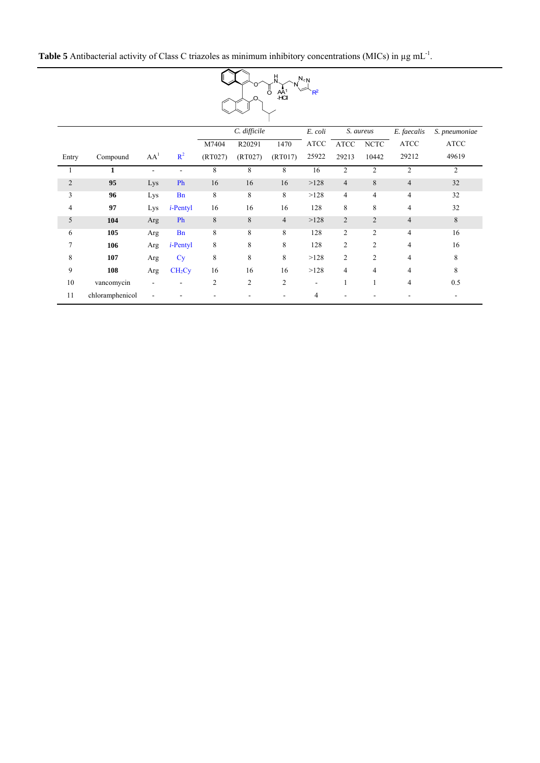

|                |                 |                 |                    |                | C. difficile   |                | E. coli                      |                | S. aureus      | E. faecalis    | S. pneumoniae  |
|----------------|-----------------|-----------------|--------------------|----------------|----------------|----------------|------------------------------|----------------|----------------|----------------|----------------|
|                |                 |                 |                    | M7404          | R20291         | 1470           | <b>ATCC</b>                  | <b>ATCC</b>    | <b>NCTC</b>    | <b>ATCC</b>    | <b>ATCC</b>    |
| Entry          | Compound        | AA <sup>1</sup> | $R^2$              | (RT027)        | (RT027)        | (RT017)        | 25922                        | 29213          | 10442          | 29212          | 49619          |
|                | 1               | ٠               |                    | 8              | 8              | 8              | 16                           | $\overline{2}$ | $\overline{2}$ | 2              | $\overline{2}$ |
| $\overline{2}$ | 95              | Lys             | Ph                 | 16             | 16             | 16             | >128                         | $\overline{4}$ | 8              | $\overline{4}$ | 32             |
| 3              | 96              | Lys             | <b>Bn</b>          | 8              | 8              | 8              | >128                         | $\overline{4}$ | $\overline{4}$ | $\overline{4}$ | 32             |
| 4              | 97              | Lys             | $i$ -Pentyl        | 16             | 16             | 16             | 128                          | 8              | 8              | $\overline{4}$ | 32             |
| 5              | 104             | Arg             | Ph                 | 8              | 8              | $\overline{4}$ | >128                         | 2              | $\overline{2}$ | $\overline{4}$ | 8              |
| 6              | 105             | Arg             | <b>B</b> n         | 8              | 8              | 8              | 128                          | 2              | $\overline{c}$ | $\overline{4}$ | 16             |
| $\overline{7}$ | 106             | Arg             | $i$ -Pentyl        | 8              | 8              | 8              | 128                          | $\overline{c}$ | $\overline{2}$ | $\overline{4}$ | 16             |
| 8              | 107             | Arg             | Cy                 | 8              | 8              | 8              | >128                         | $\overline{2}$ | $\overline{2}$ | $\overline{4}$ | 8              |
| 9              | 108             | Arg             | CH <sub>2</sub> Cy | 16             | 16             | 16             | >128                         | $\overline{4}$ | 4              | 4              | 8              |
| 10             | vancomycin      |                 |                    | $\overline{2}$ | $\overline{2}$ | 2              | $\qquad \qquad \blacksquare$ |                |                | $\overline{4}$ | 0.5            |
| 11             | chloramphenicol |                 |                    |                |                |                | 4                            |                |                |                |                |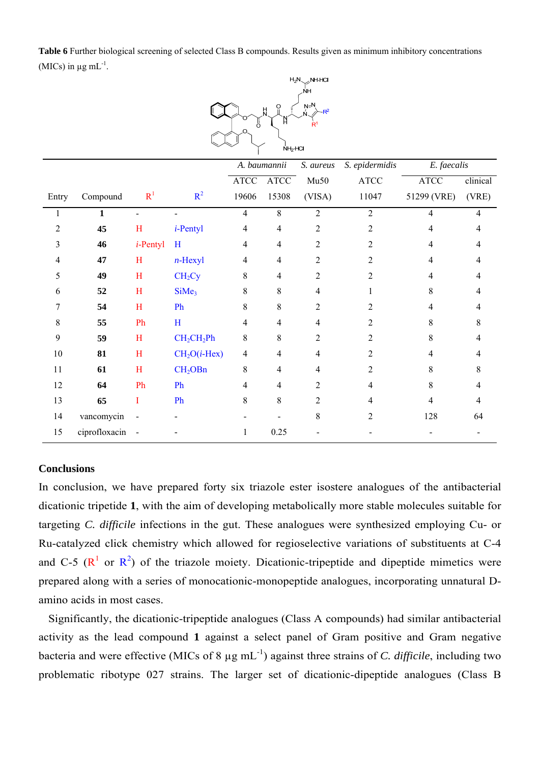**Table 6** Further biological screening of selected Class B compounds. Results given as minimum inhibitory concentrations (MICs) in  $\mu$ g mL<sup>-1</sup>.



|        |               |                |                                    | A. baumannii          |                | S. aureus      | S. epidermidis | E. faecalis           |                |
|--------|---------------|----------------|------------------------------------|-----------------------|----------------|----------------|----------------|-----------------------|----------------|
|        |               |                |                                    | $\operatorname{ATCC}$ | <b>ATCC</b>    | Mu50           | <b>ATCC</b>    | $\operatorname{ATCC}$ | clinical       |
| Entry  | Compound      | R <sup>1</sup> | $R^2$                              | 19606                 | 15308          | (VISA)         | 11047          | 51299 (VRE)           | (VRE)          |
|        | 1             |                |                                    | 4                     | 8              | $\overline{2}$ | $\overline{2}$ | 4                     | $\overline{4}$ |
| 2      | 45            | H              | $i$ -Pentyl                        | 4                     | $\overline{4}$ | 2              | $\overline{c}$ | 4                     | 4              |
| 3      | 46            | $i$ -Pentyl    | H                                  | 4                     | $\overline{4}$ | 2              | $\overline{2}$ | 4                     | 4              |
| 4      | 47            | H              | $n$ -Hexyl                         | 4                     | $\overline{4}$ | $\overline{c}$ | $\overline{2}$ | 4                     | 4              |
| 5      | 49            | H              | CH <sub>2</sub> Cy                 | 8                     | $\overline{4}$ | 2              | 2              | 4                     | 4              |
| 6      | 52            | H              | SiMe <sub>3</sub>                  | 8                     | 8              | 4              |                | 8                     | 4              |
| 7      | 54            | H              | Ph                                 | 8                     | 8              | 2              | 2              | 4                     | 4              |
| 8      | 55            | Ph             | H                                  | 4                     | 4              | 4              | 2              | 8                     | 8              |
| 9      | 59            | H              | CH <sub>2</sub> CH <sub>2</sub> Ph | 8                     | 8              | $\overline{2}$ | 2              | 8                     |                |
| $10\,$ | 81            | H              | $CH2O(i-Hex)$                      | $\overline{4}$        | 4              | 4              | 2              | 4                     | 4              |
| 11     | 61            | H              | CH <sub>2</sub> OBn                | 8                     | 4              | 4              | 2              | 8                     | 8              |
| 12     | 64            | Ph             | Ph                                 | 4                     | $\overline{4}$ | 2              | 4              | 8                     | 4              |
| 13     | 65            | T              | Ph                                 | 8                     | 8              | $\overline{2}$ | 4              | 4                     | 4              |
| 14     | vancomycin    |                |                                    |                       |                | 8              | 2              | 128                   | 64             |
| 15     | ciprofloxacin | $\overline{a}$ |                                    | 1                     | 0.25           |                |                |                       |                |

#### **Conclusions**

In conclusion, we have prepared forty six triazole ester isostere analogues of the antibacterial dicationic tripetide **1**, with the aim of developing metabolically more stable molecules suitable for targeting *C. difficile* infections in the gut. These analogues were synthesized employing Cu- or Ru-catalyzed click chemistry which allowed for regioselective variations of substituents at C-4 and C-5 ( $\mathbb{R}^1$  or  $\mathbb{R}^2$ ) of the triazole moiety. Dicationic-tripeptide and dipeptide mimetics were prepared along with a series of monocationic-monopeptide analogues, incorporating unnatural Damino acids in most cases.

Significantly, the dicationic-tripeptide analogues (Class A compounds) had similar antibacterial activity as the lead compound **1** against a select panel of Gram positive and Gram negative bacteria and were effective (MICs of 8  $\mu$ g mL<sup>-1</sup>) against three strains of *C. difficile*, including two problematic ribotype 027 strains. The larger set of dicationic-dipeptide analogues (Class B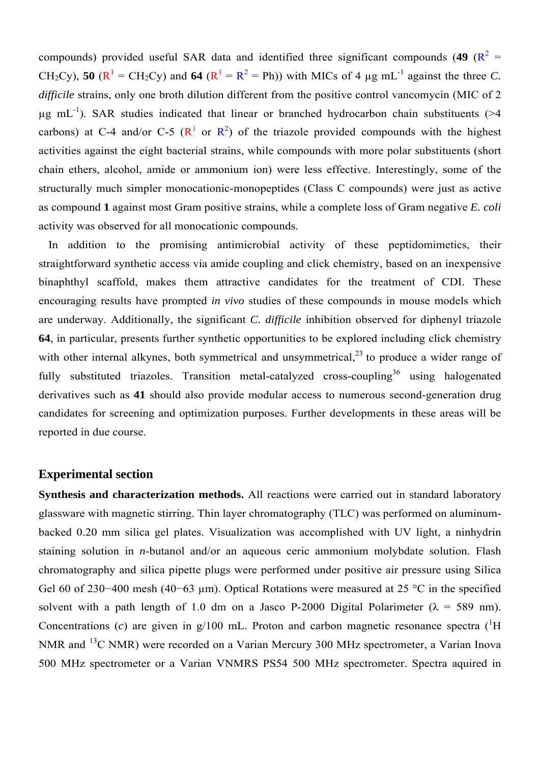compounds) provided useful SAR data and identified three significant compounds (49  $(R^2 =$ CH<sub>2</sub>Cy), **50** ( $\mathbb{R}^1$  = CH<sub>2</sub>Cy) and **64** ( $\mathbb{R}^1$  =  $\mathbb{R}^2$  = Ph)) with MICs of 4 µg mL<sup>-1</sup> against the three *C*. *difficile* strains, only one broth dilution different from the positive control vancomycin (MIC of 2  $\mu$ g mL<sup>-1</sup>). SAR studies indicated that linear or branched hydrocarbon chain substituents (>4 carbons) at C-4 and/or C-5 ( $\mathbb{R}^1$  or  $\mathbb{R}^2$ ) of the triazole provided compounds with the highest activities against the eight bacterial strains, while compounds with more polar substituents (short chain ethers, alcohol, amide or ammonium ion) were less effective. Interestingly, some of the structurally much simpler monocationic-monopeptides (Class C compounds) were just as active as compound **1** against most Gram positive strains, while a complete loss of Gram negative *E. coli* activity was observed for all monocationic compounds.

In addition to the promising antimicrobial activity of these peptidomimetics, their straightforward synthetic access via amide coupling and click chemistry, based on an inexpensive binaphthyl scaffold, makes them attractive candidates for the treatment of CDI. These encouraging results have prompted *in vivo* studies of these compounds in mouse models which are underway. Additionally, the significant *C. difficile* inhibition observed for diphenyl triazole **64**, in particular, presents further synthetic opportunities to be explored including click chemistry with other internal alkynes, both symmetrical and unsymmetrical,  $2<sup>3</sup>$  to produce a wider range of fully substituted triazoles. Transition metal-catalyzed cross-coupling<sup>36</sup> using halogenated derivatives such as **41** should also provide modular access to numerous second-generation drug candidates for screening and optimization purposes. Further developments in these areas will be reported in due course.

## **Experimental section**

**Synthesis and characterization methods.** All reactions were carried out in standard laboratory glassware with magnetic stirring. Thin layer chromatography (TLC) was performed on aluminumbacked 0.20 mm silica gel plates. Visualization was accomplished with UV light, a ninhydrin staining solution in *n*-butanol and/or an aqueous ceric ammonium molybdate solution. Flash chromatography and silica pipette plugs were performed under positive air pressure using Silica Gel 60 of 230–400 mesh (40–63 μm). Optical Rotations were measured at 25 °C in the specified solvent with a path length of 1.0 dm on a Jasco P-2000 Digital Polarimeter ( $\lambda$  = 589 nm). Concentrations (c) are given in  $g/100$  mL. Proton and carbon magnetic resonance spectra ( ${}^{1}H$ NMR and <sup>13</sup>C NMR) were recorded on a Varian Mercury 300 MHz spectrometer, a Varian Inova 500 MHz spectrometer or a Varian VNMRS PS54 500 MHz spectrometer. Spectra aquired in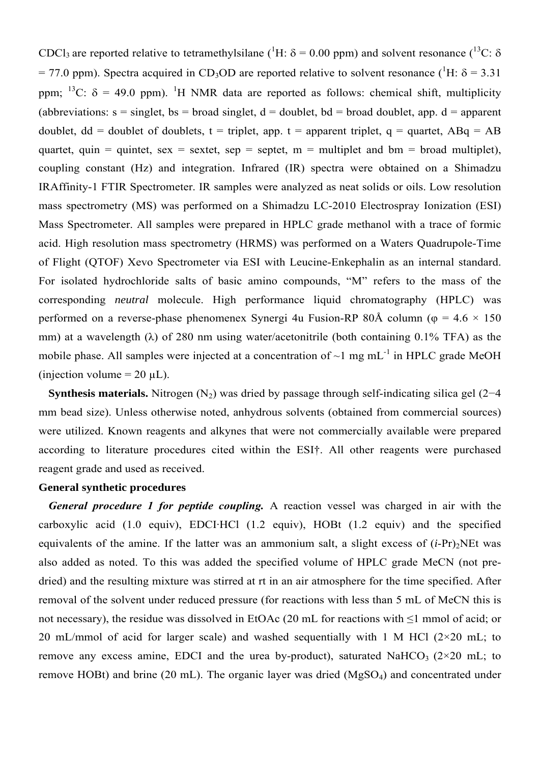CDCl<sub>3</sub> are reported relative to tetramethylsilane (<sup>1</sup>H:  $\delta$  = 0.00 ppm) and solvent resonance (<sup>13</sup>C:  $\delta$  $= 77.0$  ppm). Spectra acquired in CD<sub>3</sub>OD are reported relative to solvent resonance (<sup>1</sup>H:  $\delta = 3.31$ ) ppm; <sup>13</sup>C:  $\delta$  = 49.0 ppm). <sup>1</sup>H NMR data are reported as follows: chemical shift, multiplicity (abbreviations:  $s = singlet$ ,  $bs = broad singlet$ ,  $d = doublet$ ,  $bd = broad doublet$ , app.  $d = apparent$ doublet,  $dd = doublet$  of doublets,  $t = triplet$ , app.  $t = apparent triplet$ ,  $q = quartet$ ,  $ABq = AB$ quartet, quin = quintet, sex = sextet, sep = septet,  $m =$  multiplet and  $bm =$  broad multiplet), coupling constant (Hz) and integration. Infrared (IR) spectra were obtained on a Shimadzu IRAffinity-1 FTIR Spectrometer. IR samples were analyzed as neat solids or oils. Low resolution mass spectrometry (MS) was performed on a Shimadzu LC-2010 Electrospray Ionization (ESI) Mass Spectrometer. All samples were prepared in HPLC grade methanol with a trace of formic acid. High resolution mass spectrometry (HRMS) was performed on a Waters Quadrupole-Time of Flight (QTOF) Xevo Spectrometer via ESI with Leucine-Enkephalin as an internal standard. For isolated hydrochloride salts of basic amino compounds, "M" refers to the mass of the corresponding *neutral* molecule. High performance liquid chromatography (HPLC) was performed on a reverse-phase phenomenex Synergi 4u Fusion-RP 80Å column ( $\varphi$  = 4.6  $\times$  150 mm) at a wavelength ( $\lambda$ ) of 280 nm using water/acetonitrile (both containing 0.1% TFA) as the mobile phase. All samples were injected at a concentration of  $\sim$ 1 mg mL<sup>-1</sup> in HPLC grade MeOH (injection volume  $= 20 \mu L$ ).

**Synthesis materials.** Nitrogen (N<sub>2</sub>) was dried by passage through self-indicating silica gel (2−4 mm bead size). Unless otherwise noted, anhydrous solvents (obtained from commercial sources) were utilized. Known reagents and alkynes that were not commercially available were prepared according to literature procedures cited within the ESI†. All other reagents were purchased reagent grade and used as received.

## **General synthetic procedures**

*General procedure 1 for peptide coupling.* A reaction vessel was charged in air with the carboxylic acid (1.0 equiv), EDCI·HCl (1.2 equiv), HOBt (1.2 equiv) and the specified equivalents of the amine. If the latter was an ammonium salt, a slight excess of  $(i-Pr)_{2}NEt$  was also added as noted. To this was added the specified volume of HPLC grade MeCN (not predried) and the resulting mixture was stirred at rt in an air atmosphere for the time specified. After removal of the solvent under reduced pressure (for reactions with less than 5 mL of MeCN this is not necessary), the residue was dissolved in EtOAc (20 mL for reactions with ≤1 mmol of acid; or 20 mL/mmol of acid for larger scale) and washed sequentially with 1 M HCl  $(2\times20 \text{ mL})$ ; to remove any excess amine, EDCI and the urea by-product), saturated NaHCO<sub>3</sub> ( $2\times20$  mL; to remove HOBt) and brine (20 mL). The organic layer was dried (MgSO4) and concentrated under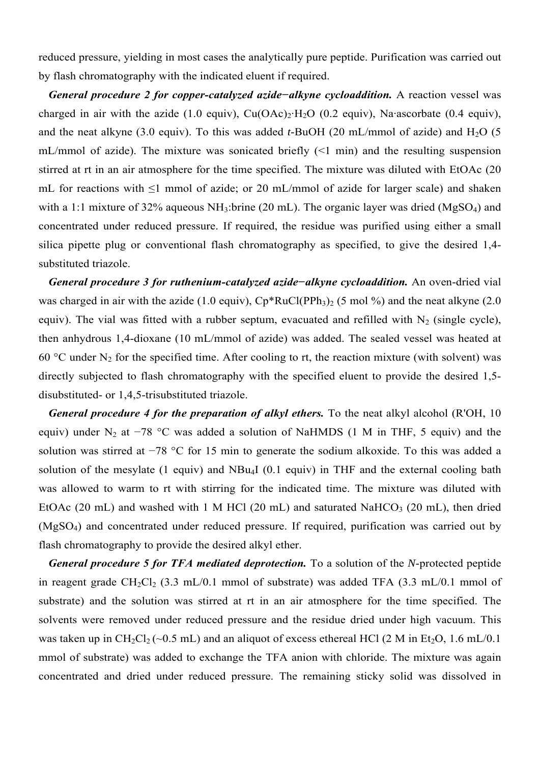reduced pressure, yielding in most cases the analytically pure peptide. Purification was carried out by flash chromatography with the indicated eluent if required.

*General procedure 2 for copper-catalyzed azide−alkyne cycloaddition.* A reaction vessel was charged in air with the azide (1.0 equiv),  $Cu(OAc)_2·H_2O$  (0.2 equiv), Na·ascorbate (0.4 equiv), and the neat alkyne  $(3.0 \text{ equiv})$ . To this was added *t*-BuOH  $(20 \text{ mL/mmol})$  of azide) and H<sub>2</sub>O  $(5 \text{ m})$ mL/mmol of azide). The mixture was sonicated briefly  $(\leq 1 \text{ min})$  and the resulting suspension stirred at rt in an air atmosphere for the time specified. The mixture was diluted with EtOAc (20 mL for reactions with ≤1 mmol of azide; or 20 mL/mmol of azide for larger scale) and shaken with a 1:1 mixture of 32% aqueous  $NH_3$ :brine (20 mL). The organic layer was dried (MgSO<sub>4</sub>) and concentrated under reduced pressure. If required, the residue was purified using either a small silica pipette plug or conventional flash chromatography as specified, to give the desired 1,4 substituted triazole.

*General procedure 3 for ruthenium-catalyzed azide−alkyne cycloaddition.* An oven-dried vial was charged in air with the azide (1.0 equiv),  $Cp*RuCl(PPh<sub>3</sub>)<sub>2</sub>$  (5 mol %) and the neat alkyne (2.0) equiv). The vial was fitted with a rubber septum, evacuated and refilled with  $N_2$  (single cycle), then anhydrous 1,4-dioxane (10 mL/mmol of azide) was added. The sealed vessel was heated at 60 °C under  $N_2$  for the specified time. After cooling to rt, the reaction mixture (with solvent) was directly subjected to flash chromatography with the specified eluent to provide the desired 1,5 disubstituted- or 1,4,5-trisubstituted triazole.

*General procedure 4 for the preparation of alkyl ethers.* To the neat alkyl alcohol (R'OH, 10) equiv) under N<sub>2</sub> at  $-78$  °C was added a solution of NaHMDS (1 M in THF, 5 equiv) and the solution was stirred at −78 °C for 15 min to generate the sodium alkoxide. To this was added a solution of the mesylate (1 equiv) and NBu4I (0.1 equiv) in THF and the external cooling bath was allowed to warm to rt with stirring for the indicated time. The mixture was diluted with EtOAc (20 mL) and washed with 1 M HCl (20 mL) and saturated NaHCO<sub>3</sub> (20 mL), then dried (MgSO4) and concentrated under reduced pressure. If required, purification was carried out by flash chromatography to provide the desired alkyl ether.

*General procedure 5 for TFA mediated deprotection.* To a solution of the *N*-protected peptide in reagent grade  $CH_2Cl_2$  (3.3 mL/0.1 mmol of substrate) was added TFA (3.3 mL/0.1 mmol of substrate) and the solution was stirred at rt in an air atmosphere for the time specified. The solvents were removed under reduced pressure and the residue dried under high vacuum. This was taken up in  $CH_2Cl_2 (\sim 0.5 \text{ mL})$  and an aliquot of excess ethereal HCl (2 M in Et<sub>2</sub>O, 1.6 mL/0.1) mmol of substrate) was added to exchange the TFA anion with chloride. The mixture was again concentrated and dried under reduced pressure. The remaining sticky solid was dissolved in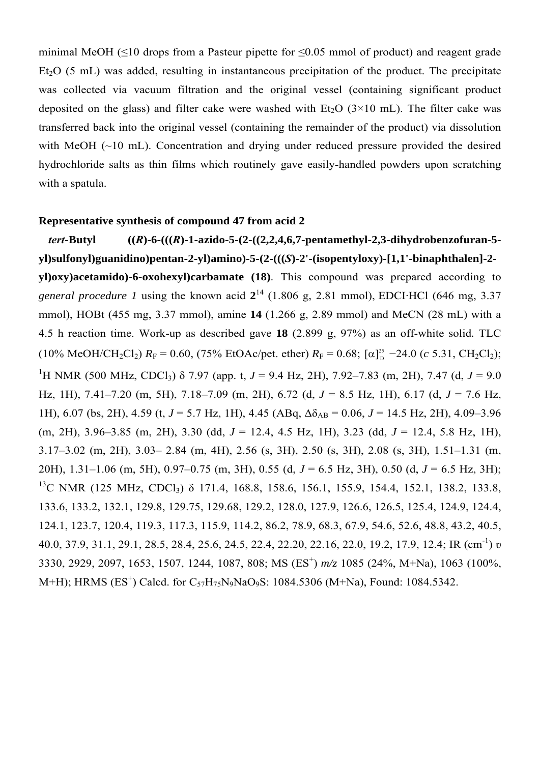minimal MeOH ( $\leq$ 10 drops from a Pasteur pipette for  $\leq$ 0.05 mmol of product) and reagent grade  $Et<sub>2</sub>O$  (5 mL) was added, resulting in instantaneous precipitation of the product. The precipitate was collected via vacuum filtration and the original vessel (containing significant product deposited on the glass) and filter cake were washed with Et<sub>2</sub>O ( $3\times10$  mL). The filter cake was transferred back into the original vessel (containing the remainder of the product) via dissolution with MeOH (~10 mL). Concentration and drying under reduced pressure provided the desired hydrochloride salts as thin films which routinely gave easily-handled powders upon scratching with a spatula.

## **Representative synthesis of compound 47 from acid 2**

*tert***-Butyl ((***R***)-6-(((***R***)-1-azido-5-(2-((2,2,4,6,7-pentamethyl-2,3-dihydrobenzofuran-5 yl)sulfonyl)guanidino)pentan-2-yl)amino)-5-(2-(((***S***)-2'-(isopentyloxy)-[1,1'-binaphthalen]-2 yl)oxy)acetamido)-6-oxohexyl)carbamate (18)**. This compound was prepared according to *general procedure 1* using the known acid  $2^{14}$  (1.806 g, 2.81 mmol), EDCI·HCl (646 mg, 3.37 mmol), HOBt (455 mg, 3.37 mmol), amine **14** (1.266 g, 2.89 mmol) and MeCN (28 mL) with a 4.5 h reaction time. Work-up as described gave **18** (2.899 g, 97%) as an off-white solid*.* TLC  $(10\% \text{ MeOH}/\text{CH}_2\text{Cl}_2) R_F = 0.60, (75\% \text{ EtOAc/pet. } \text{ether}) R_F = 0.68; [\alpha]_D^{25} - 24.0 (c \text{ 5.31, } \text{CH}_2\text{Cl}_2);$ <sup>1</sup>H NMR (500 MHz, CDCl<sub>3</sub>) δ 7.97 (app. t, *J* = 9.4 Hz, 2H), 7.92–7.83 (m, 2H), 7.47 (d, *J* = 9.0 Hz, 1H), 7.41–7.20 (m, 5H), 7.18–7.09 (m, 2H), 6.72 (d, *J* = 8.5 Hz, 1H), 6.17 (d, *J* = 7.6 Hz, 1H), 6.07 (bs, 2H), 4.59 (t,  $J = 5.7$  Hz, 1H), 4.45 (ABq,  $\Delta \delta_{AB} = 0.06$ ,  $J = 14.5$  Hz, 2H), 4.09–3.96 (m, 2H), 3.96–3.85 (m, 2H), 3.30 (dd, *J* = 12.4, 4.5 Hz, 1H), 3.23 (dd, *J* = 12.4, 5.8 Hz, 1H), 3.17–3.02 (m, 2H), 3.03– 2.84 (m, 4H), 2.56 (s, 3H), 2.50 (s, 3H), 2.08 (s, 3H), 1.51–1.31 (m, 20H), 1.31–1.06 (m, 5H), 0.97–0.75 (m, 3H), 0.55 (d, *J* = 6.5 Hz, 3H), 0.50 (d, *J* = 6.5 Hz, 3H); <sup>13</sup>C NMR (125 MHz, CDCl<sub>3</sub>) δ 171.4, 168.8, 158.6, 156.1, 155.9, 154.4, 152.1, 138.2, 133.8, 133.6, 133.2, 132.1, 129.8, 129.75, 129.68, 129.2, 128.0, 127.9, 126.6, 126.5, 125.4, 124.9, 124.4, 124.1, 123.7, 120.4, 119.3, 117.3, 115.9, 114.2, 86.2, 78.9, 68.3, 67.9, 54.6, 52.6, 48.8, 43.2, 40.5, 40.0, 37.9, 31.1, 29.1, 28.5, 28.4, 25.6, 24.5, 22.4, 22.20, 22.16, 22.0, 19.2, 17.9, 12.4; IR (cm-1) ʋ 3330, 2929, 2097, 1653, 1507, 1244, 1087, 808; MS (ES<sup>+</sup> ) *m/z* 1085 (24%, M+Na), 1063 (100%, M+H); HRMS (ES<sup>+</sup>) Calcd. for C<sub>57</sub>H<sub>75</sub>N<sub>9</sub>NaO<sub>9</sub>S: 1084.5306 (M+Na), Found: 1084.5342.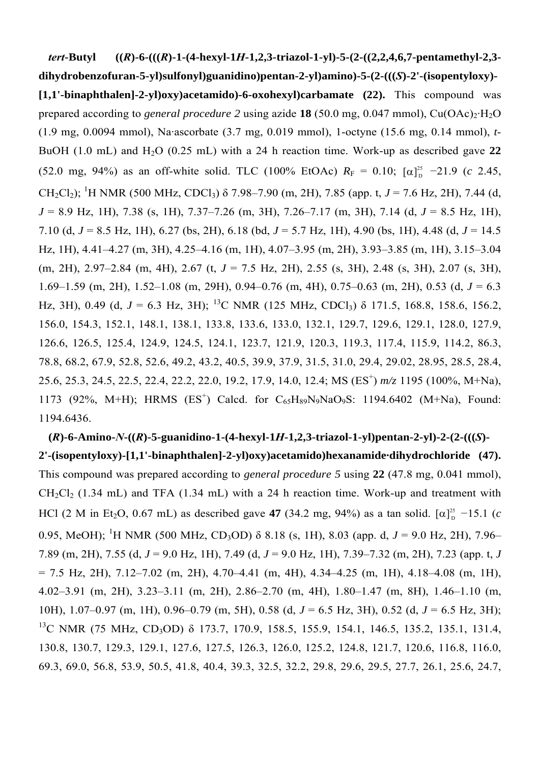*tert***-Butyl ((***R***)-6-(((***R***)-1-(4-hexyl-1***H***-1,2,3-triazol-1-yl)-5-(2-((2,2,4,6,7-pentamethyl-2,3 dihydrobenzofuran-5-yl)sulfonyl)guanidino)pentan-2-yl)amino)-5-(2-(((***S***)-2'-(isopentyloxy)- [1,1'-binaphthalen]-2-yl)oxy)acetamido)-6-oxohexyl)carbamate (22).** This compound was prepared according to *general procedure* 2 using azide **18** (50.0 mg, 0.047 mmol),  $Cu(OAc)<sub>2</sub>·H<sub>2</sub>O$ (1.9 mg, 0.0094 mmol), Na·ascorbate (3.7 mg, 0.019 mmol), 1-octyne (15.6 mg, 0.14 mmol), *t*-BuOH (1.0 mL) and H<sub>2</sub>O (0.25 mL) with a 24 h reaction time. Work-up as described gave 22  $(52.0 \text{ mg}, 94\%)$  as an off-white solid. TLC  $(100\% \text{ EtOAc})$   $R_F = 0.10$ ;  $[\alpha]_D^{25}$  -21.9 (*c* 2.45, CH<sub>2</sub>Cl<sub>2</sub>); <sup>1</sup>H NMR (500 MHz, CDCl<sub>3</sub>)  $\delta$  7.98–7.90 (m, 2H), 7.85 (app. t, *J* = 7.6 Hz, 2H), 7.44 (d, *J* = 8.9 Hz, 1H), 7.38 (s, 1H), 7.37–7.26 (m, 3H), 7.26–7.17 (m, 3H), 7.14 (d, *J* = 8.5 Hz, 1H), 7.10 (d, *J* = 8.5 Hz, 1H), 6.27 (bs, 2H), 6.18 (bd, *J* = 5.7 Hz, 1H), 4.90 (bs, 1H), 4.48 (d, *J* = 14.5 Hz, 1H), 4.41–4.27 (m, 3H), 4.25–4.16 (m, 1H), 4.07–3.95 (m, 2H), 3.93–3.85 (m, 1H), 3.15–3.04 (m, 2H), 2.97–2.84 (m, 4H), 2.67 (t, *J* = 7.5 Hz, 2H), 2.55 (s, 3H), 2.48 (s, 3H), 2.07 (s, 3H), 1.69–1.59 (m, 2H), 1.52–1.08 (m, 29H), 0.94–0.76 (m, 4H), 0.75–0.63 (m, 2H), 0.53 (d, *J* = 6.3 Hz, 3H), 0.49 (d,  $J = 6.3$  Hz, 3H); <sup>13</sup>C NMR (125 MHz, CDCl<sub>3</sub>)  $\delta$  171.5, 168.8, 158.6, 156.2, 156.0, 154.3, 152.1, 148.1, 138.1, 133.8, 133.6, 133.0, 132.1, 129.7, 129.6, 129.1, 128.0, 127.9, 126.6, 126.5, 125.4, 124.9, 124.5, 124.1, 123.7, 121.9, 120.3, 119.3, 117.4, 115.9, 114.2, 86.3, 78.8, 68.2, 67.9, 52.8, 52.6, 49.2, 43.2, 40.5, 39.9, 37.9, 31.5, 31.0, 29.4, 29.02, 28.95, 28.5, 28.4, 25.6, 25.3, 24.5, 22.5, 22.4, 22.2, 22.0, 19.2, 17.9, 14.0, 12.4; MS (ES<sup>+</sup> ) *m/z* 1195 (100%, M+Na), 1173 (92%, M+H); HRMS (ES<sup>+</sup>) Calcd. for C<sub>65</sub>H<sub>89</sub>N<sub>9</sub>NaO<sub>9</sub>S: 1194.6402 (M+Na), Found: 1194.6436.

**(***R***)-6-Amino-***N***-((***R***)-5-guanidino-1-(4-hexyl-1***H***-1,2,3-triazol-1-yl)pentan-2-yl)-2-(2-(((***S***)- 2'-(isopentyloxy)-[1,1'-binaphthalen]-2-yl)oxy)acetamido)hexanamide·dihydrochloride (47).** This compound was prepared according to *general procedure 5* using **22** (47.8 mg, 0.041 mmol),  $CH_2Cl_2$  (1.34 mL) and TFA (1.34 mL) with a 24 h reaction time. Work-up and treatment with HCl (2 M in Et<sub>2</sub>O, 0.67 mL) as described gave 47 (34.2 mg, 94%) as a tan solid.  $[\alpha]_D^{25}$  -15.1 (*c* 0.95, MeOH); <sup>1</sup>H NMR (500 MHz, CD<sub>3</sub>OD) δ 8.18 (s, 1H), 8.03 (app. d, *J* = 9.0 Hz, 2H), 7.96– 7.89 (m, 2H), 7.55 (d, *J* = 9.0 Hz, 1H), 7.49 (d, *J* = 9.0 Hz, 1H), 7.39–7.32 (m, 2H), 7.23 (app. t, *J*  $= 7.5$  Hz, 2H),  $7.12-7.02$  (m, 2H),  $4.70-4.41$  (m, 4H),  $4.34-4.25$  (m, 1H),  $4.18-4.08$  (m, 1H), 4.02–3.91 (m, 2H), 3.23–3.11 (m, 2H), 2.86–2.70 (m, 4H), 1.80–1.47 (m, 8H), 1.46–1.10 (m, 10H), 1.07–0.97 (m, 1H), 0.96–0.79 (m, 5H), 0.58 (d, *J* = 6.5 Hz, 3H), 0.52 (d, *J* = 6.5 Hz, 3H); <sup>13</sup>C NMR (75 MHz, CD<sub>3</sub>OD) δ 173.7, 170.9, 158.5, 155.9, 154.1, 146.5, 135.2, 135.1, 131.4, 130.8, 130.7, 129.3, 129.1, 127.6, 127.5, 126.3, 126.0, 125.2, 124.8, 121.7, 120.6, 116.8, 116.0, 69.3, 69.0, 56.8, 53.9, 50.5, 41.8, 40.4, 39.3, 32.5, 32.2, 29.8, 29.6, 29.5, 27.7, 26.1, 25.6, 24.7,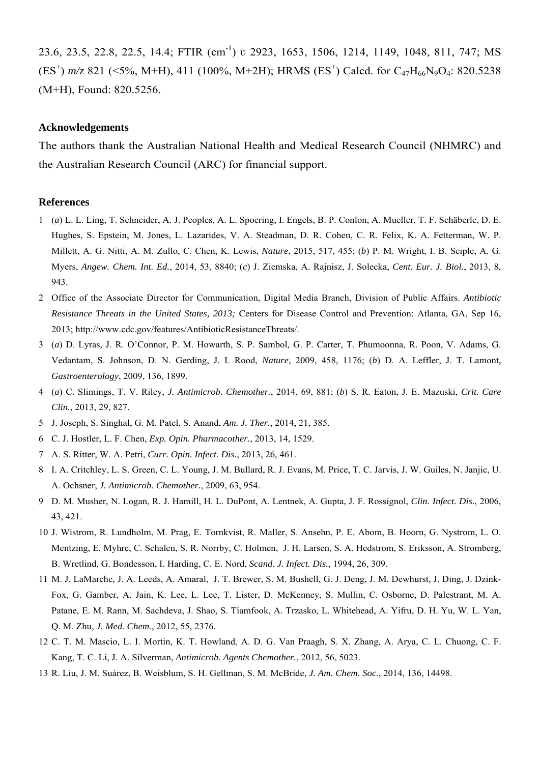23.6, 23.5, 22.8, 22.5, 14.4; FTIR (cm<sup>-1</sup>) v 2923, 1653, 1506, 1214, 1149, 1048, 811, 747; MS (ES<sup>+</sup>)  $m/z$  821 (<5%, M+H), 411 (100%, M+2H); HRMS (ES<sup>+</sup>) Calcd. for C<sub>47</sub>H<sub>66</sub>N<sub>9</sub>O<sub>4</sub>: 820.5238 (M+H), Found: 820.5256.

#### **Acknowledgements**

The authors thank the Australian National Health and Medical Research Council (NHMRC) and the Australian Research Council (ARC) for financial support.

#### **References**

- 1 (*a*) L. L. Ling, T. Schneider, A. J. Peoples, A. L. Spoering, I. Engels, B. P. Conlon, A. Mueller, T. F. Schäberle, D. E. Hughes, S. Epstein, M. Jones, L. Lazarides, V. A. Steadman, D. R. Cohen, C. R. Felix, K. A. Fetterman, W. P. Millett, A. G. Nitti, A. M. Zullo, C. Chen, K. Lewis, *Nature*, 2015, 517, 455; (*b*) P. M. Wright, I. B. Seiple, A. G. Myers, *Angew. Chem. Int. Ed.*, 2014, 53, 8840; (*c*) J. Ziemska, A. Rajnisz, J. Solecka, *Cent. Eur. J. Biol.*, 2013, 8, 943.
- 2 Office of the Associate Director for Communication, Digital Media Branch, Division of Public Affairs. *Antibiotic Resistance Threats in the United States, 2013;* Centers for Disease Control and Prevention: Atlanta, GA, Sep 16, 2013; http://www.cdc.gov/features/AntibioticResistanceThreats/.
- 3 (*a*) D. Lyras, J. R. O'Connor, P. M. Howarth, S. P. Sambol, G. P. Carter, T. Phumoonna, R. Poon, V. Adams, G. Vedantam, S. Johnson, D. N. Gerding, J. I. Rood, *Nature*, 2009, 458, 1176; (*b*) D. A. Leffler, J. T. Lamont, *Gastroenterology*, 2009, 136, 1899.
- 4 (*a*) C. Slimings, T. V. Riley, *J. Antimicrob. Chemother.*, 2014, 69, 881; (*b*) S. R. Eaton, J. E. Mazuski, *Crit. Care Clin.*, 2013, 29, 827.
- 5 J. Joseph, S. Singhal, G. M. Patel, S. Anand, *Am. J. Ther.*, 2014, 21, 385.
- 6 C. J. Hostler, L. F. Chen, *Exp. Opin. Pharmacother.*, 2013, 14, 1529.
- 7 A. S. Ritter, W. A. Petri, *Curr. Opin. Infect. Dis.*, 2013, 26, 461.
- 8 I. A. Critchley, L. S. Green, C. L. Young, J. M. Bullard, R. J. Evans, M. Price, T. C. Jarvis, J. W. Guiles, N. Janjic, U. A. Ochsner, *J. Antimicrob. Chemother.*, 2009, 63, 954.
- 9 D. M. Musher, N. Logan, R. J. Hamill, H. L. DuPont, A. Lentnek, A. Gupta, J. F. Rossignol, *Clin. Infect. Dis.*, 2006, 43, 421.
- 10 J. Wistrom, R. Lundholm, M. Prag, E. Tornkvist, R. Maller, S. Ansehn, P. E. Abom, B. Hoorn, G. Nystrom, L. O. Mentzing, E. Myhre, C. Schalen, S. R. Norrby, C. Holmen, J. H. Larsen, S. A. Hedstrom, S. Eriksson, A. Stromberg, B. Wretlind, G. Bondesson, I. Harding, C. E. Nord, *Scand. J. Infect. Dis.*, 1994, 26, 309.
- 11 M. J. LaMarche, J. A. Leeds, A. Amaral, J. T. Brewer, S. M. Bushell, G. J. Deng, J. M. Dewhurst, J. Ding, J. Dzink-Fox, G. Gamber, A. Jain, K. Lee, L. Lee, T. Lister, D. McKenney, S. Mullin, C. Osborne, D. Palestrant, M. A. Patane, E. M. Rann, M. Sachdeva, J. Shao, S. Tiamfook, A. Trzasko, L. Whitehead, A. Yifru, D. H. Yu, W. L. Yan, Q. M. Zhu, *J. Med. Chem.*, 2012, 55, 2376.
- 12 C. T. M. Mascio, L. I. Mortin, K. T. Howland, A. D. G. Van Praagh, S. X. Zhang, A. Arya, C. L. Chuong, C. F. Kang, T. C. Li, J. A. Silverman, *Antimicrob. Agents Chemother.*, 2012, 56, 5023.
- 13 R. Liu, J. M. Suárez, B. Weisblum, S. H. Gellman, S. M. McBride, *J. Am. Chem. Soc.*, 2014, 136, 14498.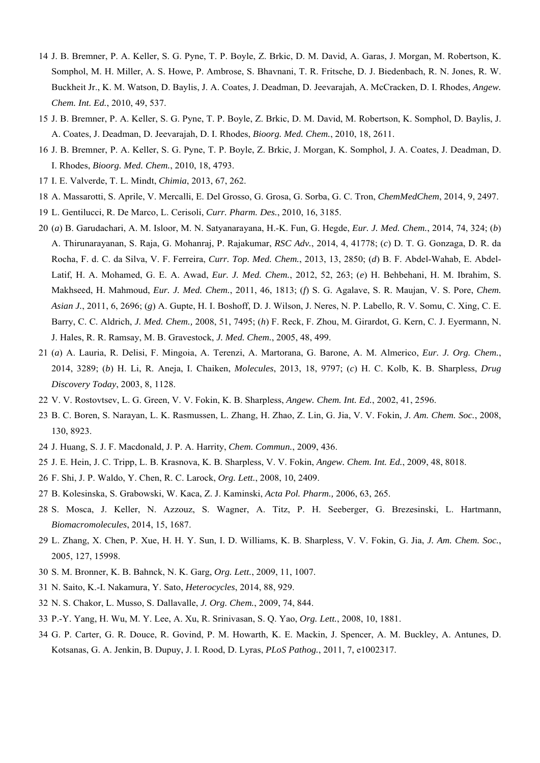- 14 J. B. Bremner, P. A. Keller, S. G. Pyne, T. P. Boyle, Z. Brkic, D. M. David, A. Garas, J. Morgan, M. Robertson, K. Somphol, M. H. Miller, A. S. Howe, P. Ambrose, S. Bhavnani, T. R. Fritsche, D. J. Biedenbach, R. N. Jones, R. W. Buckheit Jr., K. M. Watson, D. Baylis, J. A. Coates, J. Deadman, D. Jeevarajah, A. McCracken, D. I. Rhodes, *Angew. Chem. Int. Ed.*, 2010, 49, 537.
- 15 J. B. Bremner, P. A. Keller, S. G. Pyne, T. P. Boyle, Z. Brkic, D. M. David, M. Robertson, K. Somphol, D. Baylis, J. A. Coates, J. Deadman, D. Jeevarajah, D. I. Rhodes, *Bioorg. Med. Chem.*, 2010, 18, 2611.
- 16 J. B. Bremner, P. A. Keller, S. G. Pyne, T. P. Boyle, Z. Brkic, J. Morgan, K. Somphol, J. A. Coates, J. Deadman, D. I. Rhodes, *Bioorg. Med. Chem.*, 2010, 18, 4793.
- 17 I. E. Valverde, T. L. Mindt, *Chimia*, 2013, 67, 262.
- 18 A. Massarotti, S. Aprile, V. Mercalli, E. Del Grosso, G. Grosa, G. Sorba, G. C. Tron, *ChemMedChem*, 2014, 9, 2497.
- 19 L. Gentilucci, R. De Marco, L. Cerisoli, *Curr. Pharm. Des.*, 2010, 16, 3185.
- 20 (*a*) B. Garudachari, A. M. Isloor, M. N. Satyanarayana, H.-K. Fun, G. Hegde, *Eur. J. Med. Chem.*, 2014, 74, 324; (*b*) A. Thirunarayanan, S. Raja, G. Mohanraj, P. Rajakumar, *RSC Adv.*, 2014, 4, 41778; (*c*) D. T. G. Gonzaga, D. R. da Rocha, F. d. C. da Silva, V. F. Ferreira, *Curr. Top. Med. Chem.*, 2013, 13, 2850; (*d*) B. F. Abdel-Wahab, E. Abdel-Latif, H. A. Mohamed, G. E. A. Awad, *Eur. J. Med. Chem.*, 2012, 52, 263; (*e*) H. Behbehani, H. M. Ibrahim, S. Makhseed, H. Mahmoud, *Eur. J. Med. Chem.*, 2011, 46, 1813; (*f*) S. G. Agalave, S. R. Maujan, V. S. Pore, *Chem. Asian J.*, 2011, 6, 2696; (*g*) A. Gupte, H. I. Boshoff, D. J. Wilson, J. Neres, N. P. Labello, R. V. Somu, C. Xing, C. E. Barry, C. C. Aldrich, *J. Med. Chem.,* 2008, 51, 7495; (*h*) F. Reck, F. Zhou, M. Girardot, G. Kern, C. J. Eyermann, N. J. Hales, R. R. Ramsay, M. B. Gravestock, *J. Med. Chem.*, 2005, 48, 499.
- 21 (*a*) A. Lauria, R. Delisi, F. Mingoia, A. Terenzi, A. Martorana, G. Barone, A. M. Almerico, *Eur. J. Org. Chem.*, 2014, 3289; (*b*) H. Li, R. Aneja, I. Chaiken, *Molecules*, 2013, 18, 9797; (*c*) H. C. Kolb, K. B. Sharpless, *Drug Discovery Today*, 2003, 8, 1128.
- 22 V. V. Rostovtsev, L. G. Green, V. V. Fokin, K. B. Sharpless, *Angew. Chem. Int. Ed.*, 2002, 41, 2596.
- 23 B. C. Boren, S. Narayan, L. K. Rasmussen, L. Zhang, H. Zhao, Z. Lin, G. Jia, V. V. Fokin, *J. Am. Chem. Soc.*, 2008, 130, 8923.
- 24 J. Huang, S. J. F. Macdonald, J. P. A. Harrity, *Chem. Commun.*, 2009, 436.
- 25 J. E. Hein, J. C. Tripp, L. B. Krasnova, K. B. Sharpless, V. V. Fokin, *Angew. Chem. Int. Ed.*, 2009, 48, 8018.
- 26 F. Shi, J. P. Waldo, Y. Chen, R. C. Larock, *Org. Lett.*, 2008, 10, 2409.
- 27 B. Kolesinska, S. Grabowski, W. Kaca, Z. J. Kaminski, *Acta Pol. Pharm.,* 2006, 63, 265.
- 28 S. Mosca, J. Keller, N. Azzouz, S. Wagner, A. Titz, P. H. Seeberger, G. Brezesinski, L. Hartmann, *Biomacromolecules*, 2014, 15, 1687.
- 29 L. Zhang, X. Chen, P. Xue, H. H. Y. Sun, I. D. Williams, K. B. Sharpless, V. V. Fokin, G. Jia, *J. Am. Chem. Soc.*, 2005, 127, 15998.
- 30 S. M. Bronner, K. B. Bahnck, N. K. Garg, *Org. Lett.*, 2009, 11, 1007.
- 31 N. Saito, K.-I. Nakamura, Y. Sato, *Heterocycles*, 2014, 88, 929.
- 32 N. S. Chakor, L. Musso, S. Dallavalle, *J. Org. Chem.*, 2009, 74, 844.
- 33 P.-Y. Yang, H. Wu, M. Y. Lee, A. Xu, R. Srinivasan, S. Q. Yao, *Org. Lett.*, 2008, 10, 1881.
- 34 G. P. Carter, G. R. Douce, R. Govind, P. M. Howarth, K. E. Mackin, J. Spencer, A. M. Buckley, A. Antunes, D. Kotsanas, G. A. Jenkin, B. Dupuy, J. I. Rood, D. Lyras, *PLoS Pathog.*, 2011, 7, e1002317.